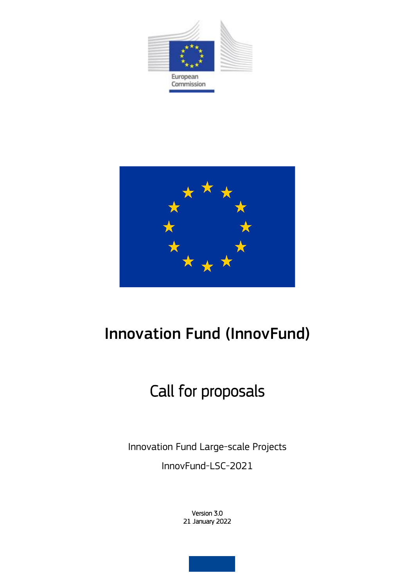



## Innovation Fund (InnovFund)

# Call for proposals

Innovation Fund Large-scale Projects

InnovFund-LSC-2021

Version 3.0 21 January 2022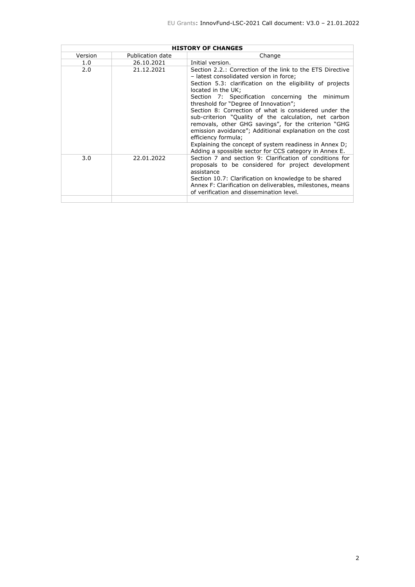| <b>HISTORY OF CHANGES</b> |                  |                                                                                                                                                                                                                                                                                                                                                                                                                                                                                                                                                                                                                                                                     |  |
|---------------------------|------------------|---------------------------------------------------------------------------------------------------------------------------------------------------------------------------------------------------------------------------------------------------------------------------------------------------------------------------------------------------------------------------------------------------------------------------------------------------------------------------------------------------------------------------------------------------------------------------------------------------------------------------------------------------------------------|--|
| Version                   | Publication date | Change                                                                                                                                                                                                                                                                                                                                                                                                                                                                                                                                                                                                                                                              |  |
| 1.0                       | 26.10.2021       | Initial version.                                                                                                                                                                                                                                                                                                                                                                                                                                                                                                                                                                                                                                                    |  |
| 2.0                       | 21.12.2021       | Section 2.2.: Correction of the link to the ETS Directive<br>- latest consolidated version in force;<br>Section 5.3: clarification on the eligibility of projects<br>located in the UK:<br>Section 7: Specification concerning the minimum<br>threshold for "Degree of Innovation";<br>Section 8: Correction of what is considered under the<br>sub-criterion "Quality of the calculation, net carbon<br>removals, other GHG savings", for the criterion "GHG<br>emission avoidance"; Additional explanation on the cost<br>efficiency formula;<br>Explaining the concept of system readiness in Annex D;<br>Adding a spossible sector for CCS category in Annex E. |  |
| 3.0                       | 22.01.2022       | Section 7 and section 9: Clarification of conditions for<br>proposals to be considered for project development<br>assistance<br>Section 10.7: Clarification on knowledge to be shared<br>Annex F: Clarification on deliverables, milestones, means<br>of verification and dissemination level.                                                                                                                                                                                                                                                                                                                                                                      |  |
|                           |                  |                                                                                                                                                                                                                                                                                                                                                                                                                                                                                                                                                                                                                                                                     |  |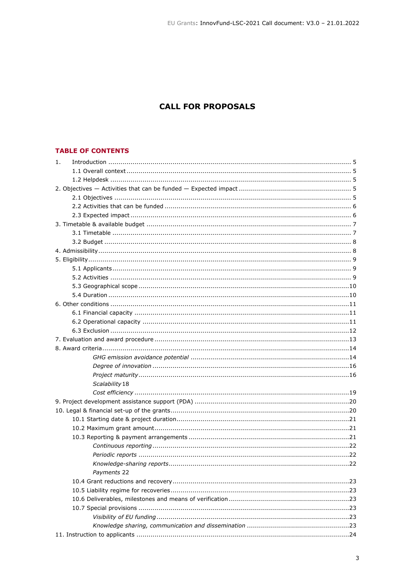## **CALL FOR PROPOSALS**

## **TABLE OF CONTENTS**

| 1.             |  |
|----------------|--|
|                |  |
|                |  |
|                |  |
|                |  |
|                |  |
|                |  |
|                |  |
|                |  |
|                |  |
|                |  |
|                |  |
|                |  |
|                |  |
|                |  |
|                |  |
|                |  |
|                |  |
|                |  |
|                |  |
|                |  |
|                |  |
|                |  |
|                |  |
|                |  |
| Scalability 18 |  |
|                |  |
|                |  |
|                |  |
|                |  |
|                |  |
|                |  |
|                |  |
|                |  |
|                |  |
| Payments 22    |  |
|                |  |
|                |  |
|                |  |
|                |  |
|                |  |
|                |  |
|                |  |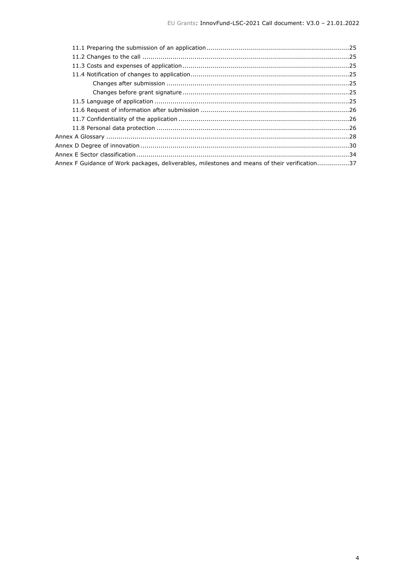| Annex F Guidance of Work packages, deliverables, milestones and means of their verification37 |  |
|-----------------------------------------------------------------------------------------------|--|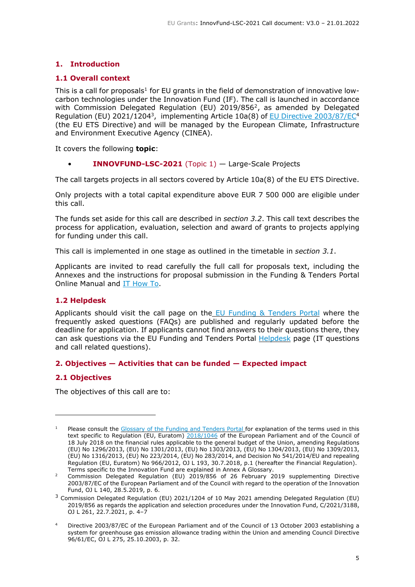## <span id="page-4-0"></span>**1. Introduction**

## <span id="page-4-1"></span>**1.1 Overall context**

This is a call for proposals<sup>1</sup> for EU grants in the field of demonstration of innovative lowcarbon technologies under the Innovation Fund (IF). The call is launched in accordance with Commission Delegated Regulation (EU) 2019/856<sup>2</sup>, as amended by Delegated Regulation (EU) 2021/1204<sup>3</sup>, implementing Article 10a(8) of **EU Directive [2003/87/EC](https://eur-lex.europa.eu/legal-content/EN/TXT/?qid=1529480964952&uri=CELEX:02003L0087-20180408)<sup>4</sup>** (the EU ETS Directive) and will be managed by the European Climate, Infrastructure and Environment Executive Agency (CINEA).

It covers the following **topic**:

**INNOVFUND-LSC-2021** (Topic  $1$ )  $-$  Large-Scale Projects

The call targets projects in all sectors covered by Article 10a(8) of the EU ETS Directive.

Only projects with a total capital expenditure above EUR 7 500 000 are eligible under this call.

The funds set aside for this call are described in *section 3.2*. This call text describes the process for application, evaluation, selection and award of grants to projects applying for funding under this call.

This call is implemented in one stage as outlined in the timetable in *section 3.1*.

Applicants are invited to read carefully the full call for proposals text, including the Annexes and the instructions for proposal submission in the Funding & Tenders Portal Online Manual and IT [How](https://webgate.ec.europa.eu/funding/display/ECResearchGMS/Proposals#All_expert_deck-189314935) To.

#### <span id="page-4-2"></span>**1.2 Helpdesk**

Applicants should visit the call page on the  $E_{\text{U}}$  Funding & [Tenders](https://ec.europa.eu/info/funding-tenders/opportunities/portal/screen/programmes/innovfund) Portal where the frequently asked questions (FAQs) are published and regularly updated before the deadline for application. If applicants cannot find answers to their questions there, they can ask questions via the EU Funding and Tenders Portal [Helpdesk](https://ec.europa.eu/info/funding-tenders/opportunities/portal/screen/support/helpdesks;programCode=INNOVFUND) page (IT questions and call related questions).

#### <span id="page-4-3"></span>**2. Objectives — Activities that can be funded — Expected impact**

#### <span id="page-4-4"></span>**2.1 Objectives**

The objectives of this call are to:

<sup>&</sup>lt;sup>1</sup> Please consult the [Glossary](https://ec.europa.eu/info/funding-tenders/opportunities/portal/screen/support/glossary) of the Funding and Tenders Portal for explanation of the terms used in this text specific to Regulation (EU, Euratom) [2018/1046](https://eur-lex.europa.eu/legal-content/EN/ALL/?uri=CELEX:32018R1046&qid=1535046024012) of the European Parliament and of the Council of 18 July 2018 on the financial rules applicable to the general budget of the Union, amending Regulations (EU) No 1296/2013, (EU) No 1301/2013, (EU) No 1303/2013, (EU) No 1304/2013, (EU) No 1309/2013, (EU) No 1316/2013, (EU) No 223/2014, (EU) No 283/2014, and Decision No 541/2014/EU and repealing Regulation (EU, Euratom) No 966/2012, OJ L 193, 30.7.2018, p.1 (hereafter the Financial Regulation). Terms specific to the Innovation Fund are explained in Annex A Glossary.

<sup>&</sup>lt;sup>2</sup> Commission Delegated Regulation (EU) 2019/856 of 26 February 2019 supplementing Directive 2003/87/EC of the European Parliament and of the Council with regard to the operation of the Innovation Fund, OJ L 140, 28.5.2019, p. 6.

<sup>&</sup>lt;sup>3</sup> Commission Delegated Regulation (EU) 2021/1204 of 10 May 2021 amending Delegated Regulation (EU) 2019/856 as regards the application and selection procedures under the Innovation Fund, C/2021/3188, OJ L 261, 22.7.2021, p. 4–7

<sup>4</sup> Directive 2003/87/EC of the European Parliament and of the Council of 13 October 2003 establishing a system for greenhouse gas emission allowance trading within the Union and amending Council Directive 96/61/EC, OJ L 275, 25.10.2003, p. 32.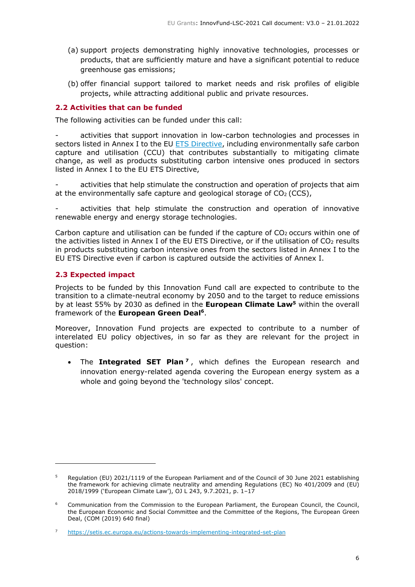- (a) support projects demonstrating highly innovative technologies, processes or products, that are sufficiently mature and have a significant potential to reduce greenhouse gas emissions;
- (b) offer financial support tailored to market needs and risk profiles of eligible projects, while attracting additional public and private resources.

#### <span id="page-5-0"></span>**2.2 Activities that can be funded**

The following activities can be funded under this call:

activities that support innovation in low-carbon technologies and processes in sectors listed in Annex I to the EU ETS [Directive,](https://eur-lex.europa.eu/legal-content/EN/TXT/?uri=CELEX%3A02003L0087-20210101) including environmentally safe carbon capture and utilisation (CCU) that contributes substantially to mitigating climate change, as well as products substituting carbon intensive ones produced in sectors listed in Annex I to the EU ETS Directive,

activities that help stimulate the construction and operation of projects that aim at the environmentally safe capture and geological storage of  $CO<sub>2</sub> (CCS)$ ,

activities that help stimulate the construction and operation of innovative renewable energy and energy storage technologies.

Carbon capture and utilisation can be funded if the capture of  $CO<sub>2</sub>$  occurs within one of the activities listed in Annex I of the EU ETS Directive, or if the utilisation of  $CO<sub>2</sub>$  results in products substituting carbon intensive ones from the sectors listed in Annex I to the EU ETS Directive even if carbon is captured outside the activities of Annex I.

## <span id="page-5-1"></span>**2.3 Expected impact**

Projects to be funded by this Innovation Fund call are expected to contribute to the transition to a climate-neutral economy by 2050 and to the target to reduce emissions by at least 55% by 2030 as defined in the **European Climate Law<sup>5</sup>** within the overall framework of the **European Green Deal<sup>6</sup>** .

Moreover, Innovation Fund projects are expected to contribute to a number of interelated EU policy objectives, in so far as they are relevant for the project in question:

• The **Integrated SET Plan <sup>7</sup>** , which defines the European research and innovation energy-related agenda covering the European energy system as a whole and going beyond the 'technology silos' concept.

<sup>5</sup> Regulation (EU) 2021/1119 of the European Parliament and of the Council of 30 June 2021 establishing the framework for achieving climate neutrality and amending Regulations (EC) No 401/2009 and (EU) 2018/1999 ('European Climate Law'), OJ L 243, 9.7.2021, p. 1–17

<sup>6</sup> Communication from the Commission to the European Parliament, the European Council, the Council, the European Economic and Social Committee and the Committee of the Regions, The European Green Deal, (COM (2019) 640 final)

<sup>7</sup> <https://setis.ec.europa.eu/actions-towards-implementing-integrated-set-plan>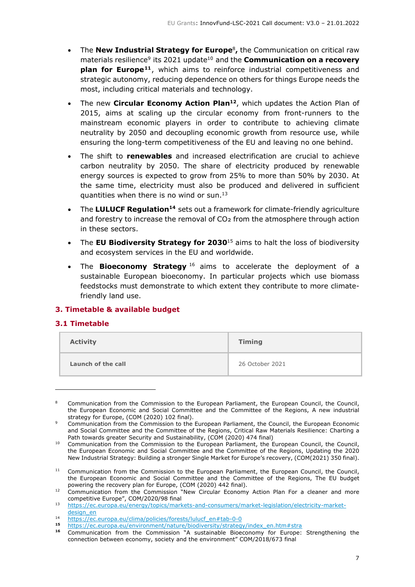- The **New Industrial Strategy for Europe**<sup>8</sup> **,** the Communication on critical raw materials resilience<sup>9</sup> its 2021 update<sup>10</sup> and the **Communication on a recovery plan for Europe<sup>11</sup>** , which aims to reinforce industrial competitiveness and strategic autonomy, reducing dependence on others for things Europe needs the most, including critical materials and technology.
- The new **Circular Economy Action Plan<sup>12</sup>** , which updates the Action Plan of 2015, aims at scaling up the circular economy from front-runners to the mainstream economic players in order to contribute to achieving climate neutrality by 2050 and decoupling economic growth from resource use, while ensuring the long-term competitiveness of the EU and leaving no one behind.
- The shift to **renewables** and increased electrification are crucial to achieve carbon neutrality by 2050. The share of electricity produced by renewable energy sources is expected to grow from 25% to more than 50% by 2030. At the same time, electricity must also be produced and delivered in sufficient quantities when there is no wind or sun. $13$
- The **LULUCF Regulation<sup>14</sup>** sets out a framework for climate-friendly agriculture and forestry to increase the removal of  $CO<sub>2</sub>$  from the atmosphere through action in these sectors.
- The **EU Biodiversity Strategy for 2030**<sup>15</sup> aims to halt the loss of biodiversity and ecosystem services in the EU and worldwide.
- The **Bioeconomy Strategy** <sup>16</sup> aims to accelerate the deployment of a sustainable European bioeconomy. In particular projects which use biomass feedstocks must demonstrate to which extent they contribute to more climatefriendly land use.

## <span id="page-6-0"></span>**3. Timetable & available budget**

#### <span id="page-6-1"></span>**3.1 Timetable**

| <b>Activity</b>    | <b>Timing</b>   |
|--------------------|-----------------|
| Launch of the call | 26 October 2021 |

Communication from the Commission to the European Parliament, the European Council, the Council, the European Economic and Social Committee and the Committee of the Regions, A new industrial strategy for Europe, (COM (2020) 102 final).

<sup>9</sup> Communication from the Commission to the European Parliament, the Council, the European Economic and Social Committee and the Committee of the Regions, Critical Raw Materials Resilience: Charting a Path towards greater Security and Sustainability, (COM (2020) 474 final)

<sup>&</sup>lt;sup>10</sup> Communication from the Commission to the European Parliament, the European Council, the Council, the European Economic and Social Committee and the Committee of the Regions, Updating the 2020 New Industrial Strategy: Building a stronger Single Market for Europe's recovery, (COM(2021) 350 final).

<sup>&</sup>lt;sup>11</sup> Communication from the Commission to the European Parliament, the European Council, the Council, the European Economic and Social Committee and the Committee of the Regions, The EU budget powering the recovery plan for Europe, (COM (2020) 442 final).

 $12$  Communication from the Commission "New Circular Economy Action Plan For a cleaner and more competitive Europe", COM/2020/98 final

<sup>13</sup> [https://ec.europa.eu/energy/topics/markets-and-consumers/market-legislation/electricity-market](https://ec.europa.eu/energy/topics/markets-and-consumers/market-legislation/electricity-market-design_en)[design\\_en](https://ec.europa.eu/energy/topics/markets-and-consumers/market-legislation/electricity-market-design_en)

<sup>14</sup> [https://ec.europa.eu/clima/policies/forests/lulucf\\_en#tab-0-0](https://ec.europa.eu/clima/policies/forests/lulucf_en#tab-0-0)<br>15 https://ec.europa.eu/cnvironment/pature/hiodiversity/etrategy

<sup>15</sup> [https://ec.europa.eu/environment/nature/biodiversity/strategy/index\\_en.htm#stra](https://ec.europa.eu/environment/nature/biodiversity/strategy/index_en.htm#stra)tegy\_index\_en.htm = 16 Communication from the Communication  $\frac{16}{10}$ 

**<sup>16</sup>** Communication from the Commission "A sustainable Bioeconomy for Europe: Strengthening the connection between economy, society and the environment" COM/2018/673 final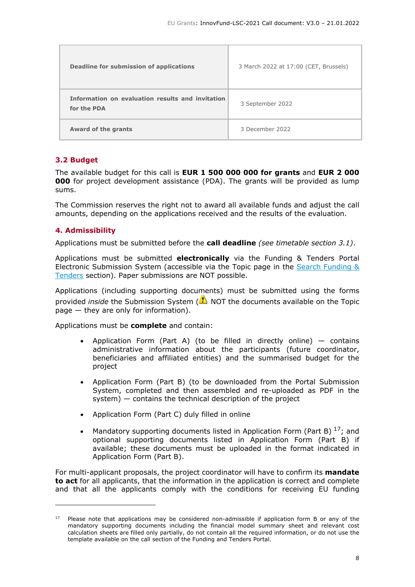| <b>Deadline for submission of applications</b>                  | 3 March 2022 at 17:00 (CET, Brussels) |  |
|-----------------------------------------------------------------|---------------------------------------|--|
| Information on evaluation results and invitation<br>for the PDA | 3 September 2022                      |  |
| Award of the grants                                             | 3 December 2022                       |  |

## <span id="page-7-0"></span>**3.2 Budget**

The available budget for this call is **EUR 1 500 000 000 for grants** and **EUR 2 000 000** for project development assistance (PDA). The grants will be provided as lump sums.

The Commission reserves the right not to award all available funds and adjust the call amounts, depending on the applications received and the results of the evaluation.

## <span id="page-7-1"></span>**4. Admissibility**

Applications must be submitted before the **call deadline** *(see timetable section 3.1)*.

Applications must be submitted **electronically** via the Funding & Tenders Portal Electronic Submission System (accessible via the Topic page in the Search [Funding](https://ec.europa.eu/info/funding-tenders/opportunities/portal/screen/opportunities/topic-search;freeTextSearchKeyword=;typeCodes=0,1;statusCodes=31094501,31094502,31094503;programCode=null;programDivisionCode=null;focusAreaCode=null;crossCuttingPriorityCode=null;callCode=Default;sortQuery=openingDate;orderBy=asc;onlyTenders=false;topicListKey=topicSearchTablePageState) & [Tenders](https://ec.europa.eu/info/funding-tenders/opportunities/portal/screen/opportunities/topic-search;freeTextSearchKeyword=;typeCodes=0,1;statusCodes=31094501,31094502,31094503;programCode=null;programDivisionCode=null;focusAreaCode=null;crossCuttingPriorityCode=null;callCode=Default;sortQuery=openingDate;orderBy=asc;onlyTenders=false;topicListKey=topicSearchTablePageState) section). Paper submissions are NOT possible.

Applications (including supporting documents) must be submitted using the forms provided *inside* the Submission System ( NOT the documents available on the Topic page — they are only for information).

Applications must be **complete** and contain:

- Application Form (Part A) (to be filled in directly online)  $-$  contains administrative information about the participants (future coordinator, beneficiaries and affiliated entities) and the summarised budget for the project
- Application Form (Part B) (to be downloaded from the Portal Submission System, completed and then assembled and re-uploaded as PDF in the system) — contains the technical description of the project
- Application Form (Part C) duly filled in online
- Mandatory supporting documents listed in Application Form (Part B)  $^{17}$ ; and optional supporting documents listed in Application Form (Part B) if available; these documents must be uploaded in the format indicated in Application Form (Part B).

For multi-applicant proposals, the project coordinator will have to confirm its **mandate to act** for all applicants, that the information in the application is correct and complete and that all the applicants comply with the conditions for receiving EU funding

 $17$  Please note that applications may be considered non-admissible if application form B or any of the mandatory supporting documents including the financial model summary sheet and relevant cost calculation sheets are filled only partially, do not contain all the required information, or do not use the template available on the call section of the Funding and Tenders Portal.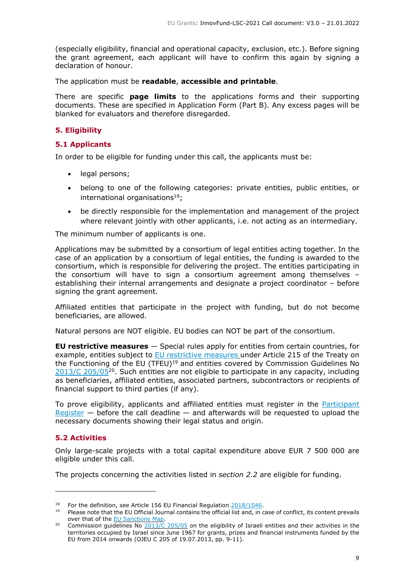(especially eligibility, financial and operational capacity, exclusion, etc.). Before signing the grant agreement, each applicant will have to confirm this again by signing a declaration of honour.

The application must be **readable**, **accessible and printable**.

There are specific **page limits** to the applications forms and their supporting documents. These are specified in Application Form (Part B). Any excess pages will be blanked for evaluators and therefore disregarded.

## <span id="page-8-0"></span>**5. Eligibility**

### <span id="page-8-1"></span>**5.1 Applicants**

In order to be eligible for funding under this call, the applicants must be:

- legal persons:
- belong to one of the following categories: private entities, public entities, or international organisations $18$ :
- be directly responsible for the implementation and management of the project where relevant jointly with other applicants, i.e. not acting as an intermediary.

The minimum number of applicants is one.

Applications may be submitted by a consortium of legal entities acting together. In the case of an application by a consortium of legal entities, the funding is awarded to the consortium, which is responsible for delivering the project. The entities participating in the consortium will have to sign a consortium agreement among themselves – establishing their internal arrangements and designate a project coordinator – before signing the grant agreement.

Affiliated entities that participate in the project with funding, but do not become beneficiaries, are allowed.

Natural persons are NOT eligible. EU bodies can NOT be part of the consortium.

**EU restrictive measures** — Special rules apply for entities from certain countries, for example, entities subject to EU [restrictive](http://www.sanctionsmap.eu/) measures under Article 215 of the Treaty on the Functioning of the EU (TFEU)<sup>19</sup> and entities covered by Commission Guidelines No  $2013/C$  205/05<sup>20</sup>. Such entities are not eligible to participate in any capacity, including as beneficiaries, affiliated entities, associated partners, subcontractors or recipients of financial support to third parties (if any).

To prove eligibility, applicants and affiliated entities must register in the **[Participant](https://ec.europa.eu/info/funding-tenders/opportunities/portal/screen/how-to-participate/participant-register)** [Register](https://ec.europa.eu/info/funding-tenders/opportunities/portal/screen/how-to-participate/participant-register)  $-$  before the call deadline  $-$  and afterwards will be requested to upload the necessary documents showing their legal status and origin.

#### <span id="page-8-2"></span>**5.2 Activities**

Only large-scale projects with a total capital expenditure above EUR 7 500 000 are eligible under this call.

The projects concerning the activities listed in *section 2.2* are eligible for funding.

<sup>&</sup>lt;sup>18</sup> For the definition, see Article 156 EU Financial Regulation [2018/1046.](https://eur-lex.europa.eu/legal-content/EN/ALL/?uri=CELEX:32018R1046&qid=1535046024012)

<sup>19</sup> Please note that the EU Official Journal contains the official list and, in case of conflict, its content prevails over that of the EU [Sanctions](http://www.sanctionsmap.eu/) Map.

<sup>&</sup>lt;sup>20</sup> Commission guidelines No [2013/C](http://eur-lex.europa.eu/LexUriServ/LexUriServ.do?uri=OJ:C:2013:205:FULL:EN:PDF) 205/05 on the eligibility of Israeli entities and their activities in the territories occupied by Israel since June 1967 for grants, prizes and financial instruments funded by the EU from 2014 onwards (OJEU C 205 of 19.07.2013, pp. 9-11).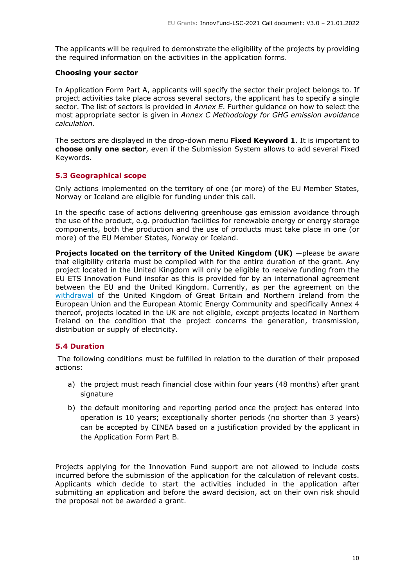The applicants will be required to demonstrate the eligibility of the projects by providing the required information on the activities in the application forms.

#### **Choosing your sector**

In Application Form Part A, applicants will specify the sector their project belongs to. If project activities take place across several sectors, the applicant has to specify a single sector. The list of sectors is provided in *Annex E*. Further guidance on how to select the most appropriate sector is given in *Annex C Methodology for GHG emission avoidance calculation*.

The sectors are displayed in the drop-down menu **Fixed Keyword 1**. It is important to **choose only one sector**, even if the Submission System allows to add several Fixed Keywords.

## <span id="page-9-0"></span>**5.3 Geographical scope**

Only actions implemented on the territory of one (or more) of the EU Member States, Norway or Iceland are eligible for funding under this call.

In the specific case of actions delivering greenhouse gas emission avoidance through the use of the product, e.g. production facilities for renewable energy or energy storage components, both the production and the use of products must take place in one (or more) of the EU Member States, Norway or Iceland.

**Projects located on the territory of the United Kingdom (UK)** —please be aware that eligibility criteria must be complied with for the entire duration of the grant. Any project located in the United Kingdom will only be eligible to receive funding from the EU ETS Innovation Fund insofar as this is provided for by an international agreement between the EU and the United Kingdom. Currently, as per the agreement on the [withdrawal](https://eur-lex.europa.eu/legal-content/EN/TXT/HTML/?uri=CELEX:12020W/TXT&from=EN) of the United Kingdom of Great Britain and Northern Ireland from the European Union and the European Atomic Energy Community and specifically Annex 4 thereof, projects located in the UK are not eligible, except projects located in Northern Ireland on the condition that the project concerns the generation, transmission, distribution or supply of electricity.

#### <span id="page-9-1"></span>**5.4 Duration**

The following conditions must be fulfilled in relation to the duration of their proposed actions:

- a) the project must reach financial close within four years (48 months) after grant signature
- b) the default monitoring and reporting period once the project has entered into operation is 10 years; exceptionally shorter periods (no shorter than 3 years) can be accepted by CINEA based on a justification provided by the applicant in the Application Form Part B.

Projects applying for the Innovation Fund support are not allowed to include costs incurred before the submission of the application for the calculation of relevant costs. Applicants which decide to start the activities included in the application after submitting an application and before the award decision, act on their own risk should the proposal not be awarded a grant.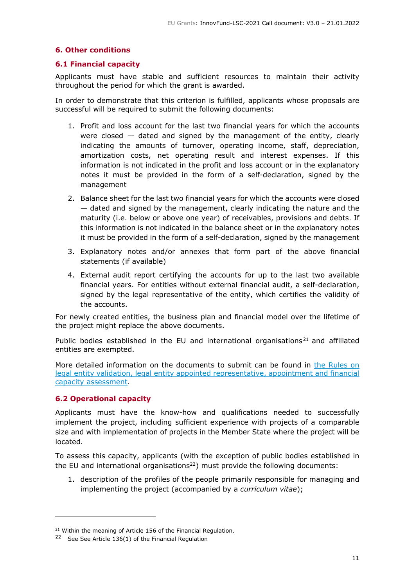## <span id="page-10-0"></span>**6. Other conditions**

#### <span id="page-10-1"></span>**6.1 Financial capacity**

Applicants must have stable and sufficient resources to maintain their activity throughout the period for which the grant is awarded.

In order to demonstrate that this criterion is fulfilled, applicants whose proposals are successful will be required to submit the following documents:

- 1. Profit and loss account for the last two financial years for which the accounts were closed  $-$  dated and signed by the management of the entity, clearly indicating the amounts of turnover, operating income, staff, depreciation, amortization costs, net operating result and interest expenses. If this information is not indicated in the profit and loss account or in the explanatory notes it must be provided in the form of a self-declaration, signed by the management
- 2. Balance sheet for the last two financial years for which the accounts were closed — dated and signed by the management, clearly indicating the nature and the maturity (i.e. below or above one year) of receivables, provisions and debts. If this information is not indicated in the balance sheet or in the explanatory notes it must be provided in the form of a self-declaration, signed by the management
- 3. Explanatory notes and/or annexes that form part of the above financial statements (if available)
- 4. External audit report certifying the accounts for up to the last two available financial years. For entities without external financial audit, a self-declaration, signed by the legal representative of the entity, which certifies the validity of the accounts.

For newly created entities, the business plan and financial model over the lifetime of the project might replace the above documents.

Public bodies established in the EU and international organisations<sup>21</sup> and affiliated entities are exempted.

More detailed information on the documents to submit can be found in the [Rules](https://ec.europa.eu/info/funding-tenders/opportunities/docs/2021-2027/common/guidance/rules-lev-lear-fca_en.pdf) on legal entity validation, legal entity appointed [representative,](https://ec.europa.eu/info/funding-tenders/opportunities/docs/2021-2027/common/guidance/rules-lev-lear-fca_en.pdf) appointment and financial capacity [assessment.](https://ec.europa.eu/info/funding-tenders/opportunities/docs/2021-2027/common/guidance/rules-lev-lear-fca_en.pdf)

#### <span id="page-10-2"></span>**6.2 Operational capacity**

Applicants must have the know-how and qualifications needed to successfully implement the project, including sufficient experience with projects of a comparable size and with implementation of projects in the Member State where the project will be located.

To assess this capacity, applicants (with the exception of public bodies established in the EU and international organisations $^{22}$ ) must provide the following documents:

1. description of the profiles of the people primarily responsible for managing and implementing the project (accompanied by a *curriculum vitae*);

<sup>&</sup>lt;sup>21</sup> Within the meaning of Article 156 of the Financial Regulation.

 $22$  See See Article 136(1) of the Financial Regulation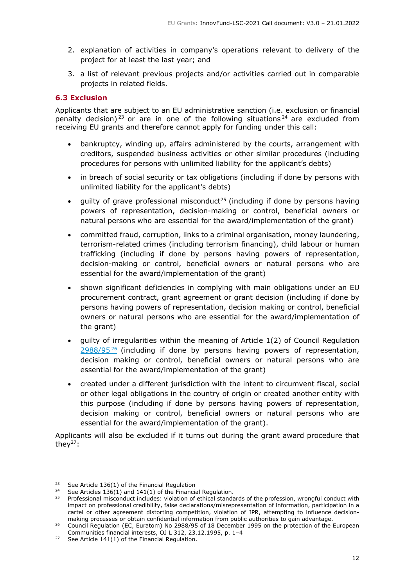- 2. explanation of activities in company's operations relevant to delivery of the project for at least the last year; and
- 3. a list of relevant previous projects and/or activities carried out in comparable projects in related fields.

## <span id="page-11-0"></span>**6.3 Exclusion**

Applicants that are subject to an EU administrative sanction (i.e. exclusion or financial penalty decision)<sup>23</sup> or are in one of the following situations<sup>24</sup> are excluded from receiving EU grants and therefore cannot apply for funding under this call:

- bankruptcy, winding up, affairs administered by the courts, arrangement with creditors, suspended business activities or other similar procedures (including procedures for persons with unlimited liability for the applicant's debts)
- in breach of social security or tax obligations (including if done by persons with unlimited liability for the applicant's debts)
- quilty of grave professional misconduct<sup>25</sup> (including if done by persons having powers of representation, decision-making or control, beneficial owners or natural persons who are essential for the award/implementation of the grant)
- committed fraud, corruption, links to a criminal organisation, money laundering, terrorism-related crimes (including terrorism financing), child labour or human trafficking (including if done by persons having powers of representation, decision-making or control, beneficial owners or natural persons who are essential for the award/implementation of the grant)
- shown significant deficiencies in complying with main obligations under an EU procurement contract, grant agreement or grant decision (including if done by persons having powers of representation, decision making or control, beneficial owners or natural persons who are essential for the award/implementation of the grant)
- guilty of irregularities within the meaning of Article 1(2) of Council Regulation  $2988/95<sup>26</sup>$  $2988/95<sup>26</sup>$  (including if done by persons having powers of representation, decision making or control, beneficial owners or natural persons who are essential for the award/implementation of the grant)
- created under a different jurisdiction with the intent to circumvent fiscal, social or other legal obligations in the country of origin or created another entity with this purpose (including if done by persons having powers of representation, decision making or control, beneficial owners or natural persons who are essential for the award/implementation of the grant).

Applicants will also be excluded if it turns out during the grant award procedure that they $27$ :

<sup>&</sup>lt;sup>23</sup> See Article 136(1) of the Financial Regulation

<sup>&</sup>lt;sup>24</sup> See Articles  $136(1)$  and  $141(1)$  of the Financial Regulation.

<sup>&</sup>lt;sup>25</sup> Professional misconduct includes: violation of ethical standards of the profession, wrongful conduct with impact on professional credibility, false declarations/misrepresentation of information, participation in a cartel or other agreement distorting competition, violation of IPR, attempting to influence decisionmaking processes or obtain confidential information from public authorities to gain advantage.

<sup>&</sup>lt;sup>26</sup> Council Regulation (EC, Euratom) No 2988/95 of 18 December 1995 on the protection of the European Communities financial interests, OJ L 312, 23.12.1995, p. 1–4

<sup>&</sup>lt;sup>27</sup> See Article 141(1) of the Financial Regulation.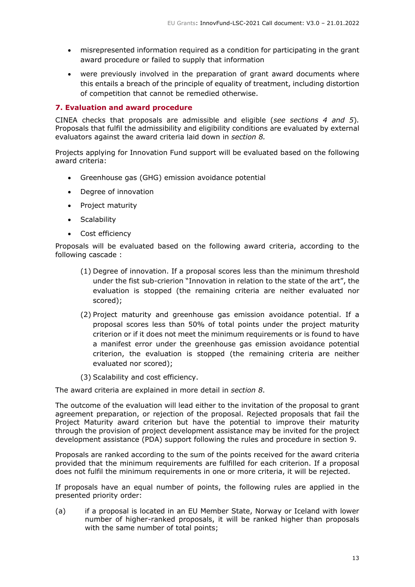- misrepresented information required as a condition for participating in the grant award procedure or failed to supply that information
- were previously involved in the preparation of grant award documents where this entails a breach of the principle of equality of treatment, including distortion of competition that cannot be remedied otherwise.

### <span id="page-12-0"></span>**7. Evaluation and award procedure**

CINEA checks that proposals are admissible and eligible (*see sections 4 and 5*)*.* Proposals that fulfil the admissibility and eligibility conditions are evaluated by external evaluators against the award criteria laid down in *section 8.*

Projects applying for Innovation Fund support will be evaluated based on the following award criteria:

- Greenhouse gas (GHG) emission avoidance potential
- Degree of innovation
- Project maturity
- Scalability
- Cost efficiency

Proposals will be evaluated based on the following award criteria, according to the following cascade :

- (1) Degree of innovation. If a proposal scores less than the minimum threshold under the fist sub-crierion "Innovation in relation to the state of the art", the evaluation is stopped (the remaining criteria are neither evaluated nor scored);
- (2) Project maturity and greenhouse gas emission avoidance potential. If a proposal scores less than 50% of total points under the project maturity criterion or if it does not meet the minimum requirements or is found to have a manifest error under the greenhouse gas emission avoidance potential criterion, the evaluation is stopped (the remaining criteria are neither evaluated nor scored);
- (3) Scalability and cost efficiency.

The award criteria are explained in more detail in *section 8*.

The outcome of the evaluation will lead either to the invitation of the proposal to grant agreement preparation, or rejection of the proposal. Rejected proposals that fail the Project Maturity award criterion but have the potential to improve their maturity through the provision of project development assistance may be invited for the project development assistance (PDA) support following the rules and procedure in section 9.

Proposals are ranked according to the sum of the points received for the award criteria provided that the minimum requirements are fulfilled for each criterion. If a proposal does not fulfil the minimum requirements in one or more criteria, it will be rejected.

If proposals have an equal number of points, the following rules are applied in the presented priority order:

(a) if a proposal is located in an EU Member State, Norway or Iceland with lower number of higher-ranked proposals, it will be ranked higher than proposals with the same number of total points;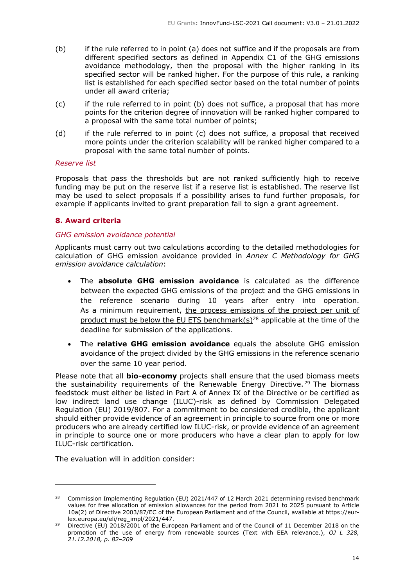- (b) if the rule referred to in point (a) does not suffice and if the proposals are from different specified sectors as defined in Appendix C1 of the GHG emissions avoidance methodology, then the proposal with the higher ranking in its specified sector will be ranked higher. For the purpose of this rule, a ranking list is established for each specified sector based on the total number of points under all award criteria;
- (c) if the rule referred to in point (b) does not suffice, a proposal that has more points for the criterion degree of innovation will be ranked higher compared to a proposal with the same total number of points;
- (d) if the rule referred to in point (c) does not suffice, a proposal that received more points under the criterion scalability will be ranked higher compared to a proposal with the same total number of points.

#### *Reserve list*

Proposals that pass the thresholds but are not ranked sufficiently high to receive funding may be put on the reserve list if a reserve list is established. The reserve list may be used to select proposals if a possibility arises to fund further proposals, for example if applicants invited to grant preparation fail to sign a grant agreement.

#### <span id="page-13-0"></span>**8. Award criteria**

#### <span id="page-13-1"></span>*GHG emission avoidance potential*

Applicants must carry out two calculations according to the detailed methodologies for calculation of GHG emission avoidance provided in *Annex C Methodology for GHG emission avoidance calculation*:

- The **absolute GHG emission avoidance** is calculated as the difference between the expected GHG emissions of the project and the GHG emissions in the reference scenario during 10 years after entry into operation. As a minimum requirement, the process emissions of the project per unit of product must be below the EU ETS benchmark(s)<sup>28</sup> applicable at the time of the deadline for submission of the applications.
- The **relative GHG emission avoidance** equals the absolute GHG emission avoidance of the project divided by the GHG emissions in the reference scenario over the same 10 year period.

Please note that all **bio-economy** projects shall ensure that the used biomass meets the sustainability requirements of the Renewable Energy Directive.<sup>29</sup> The biomass feedstock must either be listed in Part A of Annex IX of the Directive or be certified as low indirect land use change (ILUC)-risk as defined by Commission Delegated Regulation (EU) 2019/807. For a commitment to be considered credible, the applicant should either provide evidence of an agreement in principle to source from one or more producers who are already certified low ILUC-risk, or provide evidence of an agreement in principle to source one or more producers who have a clear plan to apply for low ILUC-risk certification.

The evaluation will in addition consider:

<sup>&</sup>lt;sup>28</sup> Commission Implementing Regulation (EU) 2021/447 of 12 March 2021 determining revised benchmark values for free allocation of emission allowances for the period from 2021 to 2025 pursuant to Article 10a(2) of Directive 2003/87/EC of the European Parliament and of the Council, available at https://eurlex.europa.eu/eli/reg\_impl/2021/447.

<sup>&</sup>lt;sup>29</sup> Directive (EU)  $2018/2001$  of the European Parliament and of the Council of 11 December 2018 on the promotion of the use of energy from renewable sources (Text with EEA relevance.), *OJ L 328, 21.12.2018, p. 82–209*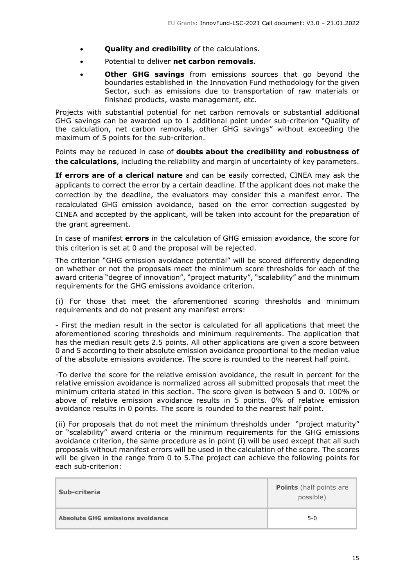- **Quality and credibility** of the calculations.
- Potential to deliver **net carbon removals**.
- **Other GHG savings** from emissions sources that go beyond the boundaries established in the Innovation Fund methodology for the given Sector, such as emissions due to transportation of raw materials or finished products, waste management, etc.

Projects with substantial potential for net carbon removals or substantial additional GHG savings can be awarded up to 1 additional point under sub-criterion "Quality of the calculation, net carbon removals, other GHG savings" without exceeding the maximum of 5 points for the sub-criterion.

Points may be reduced in case of **doubts about the credibility and robustness of the calculations**, including the reliability and margin of uncertainty of key parameters.

**If errors are of a clerical nature** and can be easily corrected, CINEA may ask the applicants to correct the error by a certain deadline. If the applicant does not make the correction by the deadline, the evaluators may consider this a manifest error. The recalculated GHG emission avoidance, based on the error correction suggested by CINEA and accepted by the applicant, will be taken into account for the preparation of the grant agreement.

In case of manifest **errors** in the calculation of GHG emission avoidance, the score for this criterion is set at 0 and the proposal will be rejected.

The criterion "GHG emission avoidance potential" will be scored differently depending on whether or not the proposals meet the minimum score thresholds for each of the award criteria "degree of innovation", "project maturity", "scalability" and the minimum requirements for the GHG emissions avoidance criterion.

(i) For those that meet the aforementioned scoring thresholds and minimum requirements and do not present any manifest errors:

- First the median result in the sector is calculated for all applications that meet the aforementioned scoring thresholds and minimum requirements. The application that has the median result gets 2.5 points. All other applications are given a score between 0 and 5 according to their absolute emission avoidance proportional to the median value of the absolute emissions avoidance. The score is rounded to the nearest half point.

-To derive the score for the relative emission avoidance, the result in percent for the relative emission avoidance is normalized across all submitted proposals that meet the minimum criteria stated in this section. The score given is between 5 and 0. 100% or above of relative emission avoidance results in 5 points. 0% of relative emission avoidance results in 0 points. The score is rounded to the nearest half point.

(ii) For proposals that do not meet the minimum thresholds under "project maturity" or "scalability" award criteria or the minimum requirements for the GHG emissions avoidance criterion, the same procedure as in point (i) will be used except that all such proposals without manifest errors will be used in the calculation of the score. The scores will be given in the range from 0 to 5.The project can achieve the following points for each sub-criterion:

| Sub-criteria                            | <b>Points</b> (half points are<br>possible) |
|-----------------------------------------|---------------------------------------------|
| <b>Absolute GHG emissions avoidance</b> | $5-0$                                       |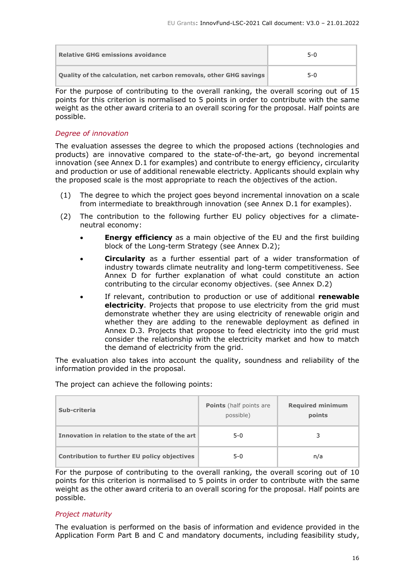| <b>Relative GHG emissions avoidance</b>                                   | 5-0   |
|---------------------------------------------------------------------------|-------|
| <b>Quality of the calculation, net carbon removals, other GHG savings</b> | $5-0$ |

For the purpose of contributing to the overall ranking, the overall scoring out of 15 points for this criterion is normalised to 5 points in order to contribute with the same weight as the other award criteria to an overall scoring for the proposal. Half points are possible.

## <span id="page-15-0"></span>*Degree of innovation*

The evaluation assesses the degree to which the proposed actions (technologies and products) are innovative compared to the state-of-the-art, go beyond incremental innovation (see Annex D.1 for examples) and contribute to energy efficiency, circularity and production or use of additional renewable electricty. Applicants should explain why the proposed scale is the most appropriate to reach the objectives of the action.

- (1) The degree to which the project goes beyond incremental innovation on a scale from intermediate to breakthrough innovation (see Annex D.1 for examples).
- (2) The contribution to the following further EU policy objectives for a climateneutral economy:
	- **Energy efficiency** as a main objective of the EU and the first building block of the Long-term Strategy (see Annex D.2);
	- **Circularity** as a further essential part of a wider transformation of industry towards climate neutrality and long-term competitiveness. See Annex D for further explanation of what could constitute an action contributing to the circular economy objectives. (see Annex D.2)
	- If relevant, contribution to production or use of additional **renewable electricity**. Projects that propose to use electricity from the grid must demonstrate whether they are using electricity of renewable origin and whether they are adding to the renewable deployment as defined in Annex D.3. Projects that propose to feed electricity into the grid must consider the relationship with the electricity market and how to match the demand of electricity from the grid.

The evaluation also takes into account the quality, soundness and reliability of the information provided in the proposal.

| The project can achieve the following points: |  |
|-----------------------------------------------|--|
|-----------------------------------------------|--|

| Sub-criteria                                        | <b>Points</b> (half points are<br>possible) | <b>Required minimum</b><br>points |
|-----------------------------------------------------|---------------------------------------------|-----------------------------------|
| Innovation in relation to the state of the art      | $5-0$                                       |                                   |
| <b>Contribution to further EU policy objectives</b> | $5-0$                                       | n/a                               |

For the purpose of contributing to the overall ranking, the overall scoring out of 10 points for this criterion is normalised to 5 points in order to contribute with the same weight as the other award criteria to an overall scoring for the proposal. Half points are possible.

## <span id="page-15-1"></span>*Project maturity*

The evaluation is performed on the basis of information and evidence provided in the Application Form Part B and C and mandatory documents, including feasibility study,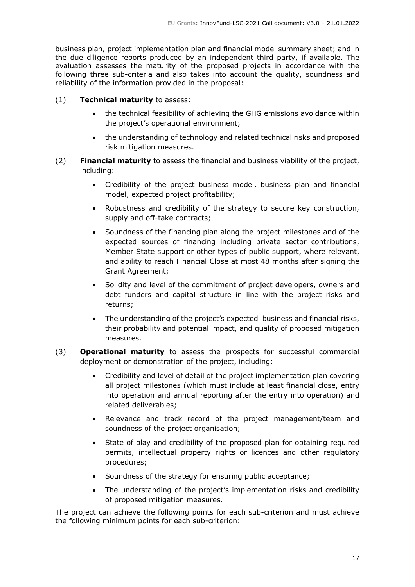business plan, project implementation plan and financial model summary sheet; and in the due diligence reports produced by an independent third party, if available. The evaluation assesses the maturity of the proposed projects in accordance with the following three sub-criteria and also takes into account the quality, soundness and reliability of the information provided in the proposal:

- (1) **Technical maturity** to assess:
	- the technical feasibility of achieving the GHG emissions avoidance within the project's operational environment;
	- the understanding of technology and related technical risks and proposed risk mitigation measures.
- (2) **Financial maturity** to assess the financial and business viability of the project, including:
	- Credibility of the project business model, business plan and financial model, expected project profitability;
	- Robustness and credibility of the strategy to secure key construction, supply and off-take contracts;
	- Soundness of the financing plan along the project milestones and of the expected sources of financing including private sector contributions, Member State support or other types of public support, where relevant, and ability to reach Financial Close at most 48 months after signing the Grant Agreement;
	- Solidity and level of the commitment of project developers, owners and debt funders and capital structure in line with the project risks and returns;
	- The understanding of the project's expected business and financial risks, their probability and potential impact, and quality of proposed mitigation measures.
- (3) **Operational maturity** to assess the prospects for successful commercial deployment or demonstration of the project, including:
	- Credibility and level of detail of the project implementation plan covering all project milestones (which must include at least financial close, entry into operation and annual reporting after the entry into operation) and related deliverables;
	- Relevance and track record of the project management/team and soundness of the project organisation;
	- State of play and credibility of the proposed plan for obtaining required permits, intellectual property rights or licences and other regulatory procedures;
	- Soundness of the strategy for ensuring public acceptance;
	- The understanding of the project's implementation risks and credibility of proposed mitigation measures.

The project can achieve the following points for each sub-criterion and must achieve the following minimum points for each sub-criterion: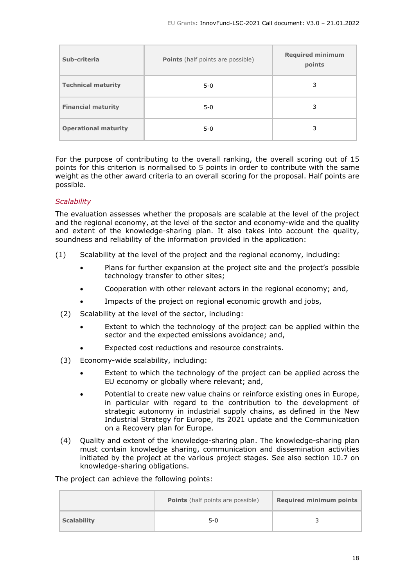| Sub-criteria                | <b>Points</b> (half points are possible) | <b>Required minimum</b><br>points |
|-----------------------------|------------------------------------------|-----------------------------------|
| <b>Technical maturity</b>   | $5 - 0$                                  | 3                                 |
| <b>Financial maturity</b>   | $5-0$                                    | 3                                 |
| <b>Operational maturity</b> | $5 - 0$                                  | 3                                 |

For the purpose of contributing to the overall ranking, the overall scoring out of 15 points for this criterion is normalised to 5 points in order to contribute with the same weight as the other award criteria to an overall scoring for the proposal. Half points are possible.

## <span id="page-17-0"></span>*Scalability*

The evaluation assesses whether the proposals are scalable at the level of the project and the regional economy, at the level of the sector and economy-wide and the quality and extent of the knowledge-sharing plan. It also takes into account the quality, soundness and reliability of the information provided in the application:

- (1) Scalability at the level of the project and the regional economy, including:
	- Plans for further expansion at the project site and the project's possible technology transfer to other sites;
	- Cooperation with other relevant actors in the regional economy; and,
	- Impacts of the project on regional economic growth and jobs,
	- (2) Scalability at the level of the sector, including:
		- Extent to which the technology of the project can be applied within the sector and the expected emissions avoidance; and,
		- Expected cost reductions and resource constraints.
	- (3) Economy-wide scalability, including:
		- Extent to which the technology of the project can be applied across the EU economy or globally where relevant; and,
		- Potential to create new value chains or reinforce existing ones in Europe, in particular with regard to the contribution to the development of strategic autonomy in industrial supply chains, as defined in the New Industrial Strategy for Europe, its 2021 update and the Communication on a Recovery plan for Europe.
	- (4) Quality and extent of the knowledge-sharing plan. The knowledge-sharing plan must contain knowledge sharing, communication and dissemination activities initiated by the project at the various project stages. See also section 10.7 on knowledge-sharing obligations.

The project can achieve the following points:

|                    | <b>Points</b> (half points are possible) | <b>Required minimum points</b> |
|--------------------|------------------------------------------|--------------------------------|
| <b>Scalability</b> | $5-0$                                    |                                |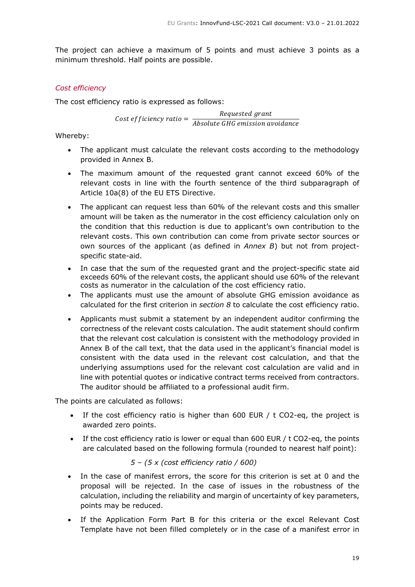The project can achieve a maximum of 5 points and must achieve 3 points as a minimum threshold. Half points are possible.

## <span id="page-18-0"></span>*Cost efficiency*

The cost efficiency ratio is expressed as follows:

Cost efficiency ratio =  $\frac{Required\, grant}{d}$ Absolute GHG emission avoidance

Whereby:

- The applicant must calculate the relevant costs according to the methodology provided in Annex B.
- The maximum amount of the requested grant cannot exceed 60% of the relevant costs in line with the fourth sentence of the third subparagraph of Article 10a(8) of the EU ETS Directive.
- The applicant can request less than 60% of the relevant costs and this smaller amount will be taken as the numerator in the cost efficiency calculation only on the condition that this reduction is due to applicant's own contribution to the relevant costs. This own contribution can come from private sector sources or own sources of the applicant (as defined in *Annex B*) but not from projectspecific state-aid.
- In case that the sum of the requested grant and the project-specific state aid exceeds 60% of the relevant costs, the applicant should use 60% of the relevant costs as numerator in the calculation of the cost efficiency ratio.
- The applicants must use the amount of absolute GHG emission avoidance as calculated for the first criterion in *section 8* to calculate the cost efficiency ratio.
- Applicants must submit a statement by an independent auditor confirming the correctness of the relevant costs calculation. The audit statement should confirm that the relevant cost calculation is consistent with the methodology provided in Annex B of the call text, that the data used in the applicant's financial model is consistent with the data used in the relevant cost calculation, and that the underlying assumptions used for the relevant cost calculation are valid and in line with potential quotes or indicative contract terms received from contractors. The auditor should be affiliated to a professional audit firm.

The points are calculated as follows:

- If the cost efficiency ratio is higher than 600 EUR /  $t$  CO2-eq, the project is awarded zero points.
- If the cost efficiency ratio is lower or equal than  $600$  EUR / t CO2-eq, the points are calculated based on the following formula (rounded to nearest half point):

## *5 – (5 x (cost efficiency ratio / 600)*

- In the case of manifest errors, the score for this criterion is set at 0 and the proposal will be rejected. In the case of issues in the robustness of the calculation, including the reliability and margin of uncertainty of key parameters, points may be reduced.
- If the Application Form Part B for this criteria or the excel Relevant Cost Template have not been filled completely or in the case of a manifest error in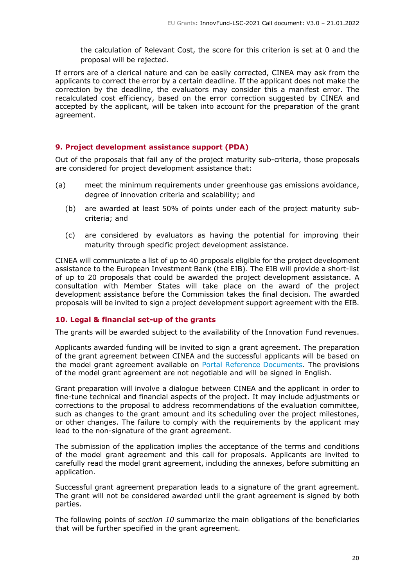the calculation of Relevant Cost, the score for this criterion is set at 0 and the proposal will be rejected.

If errors are of a clerical nature and can be easily corrected, CINEA may ask from the applicants to correct the error by a certain deadline. If the applicant does not make the correction by the deadline, the evaluators may consider this a manifest error. The recalculated cost efficiency, based on the error correction suggested by CINEA and accepted by the applicant, will be taken into account for the preparation of the grant agreement.

## <span id="page-19-0"></span>**9. Project development assistance support (PDA)**

Out of the proposals that fail any of the project maturity sub-criteria, those proposals are considered for project development assistance that:

- (a) meet the minimum requirements under greenhouse gas emissions avoidance, degree of innovation criteria and scalability; and
	- (b) are awarded at least 50% of points under each of the project maturity subcriteria; and
	- (c) are considered by evaluators as having the potential for improving their maturity through specific project development assistance.

CINEA will communicate a list of up to 40 proposals eligible for the project development assistance to the European Investment Bank (the EIB). The EIB will provide a short-list of up to 20 proposals that could be awarded the project development assistance. A consultation with Member States will take place on the award of the project development assistance before the Commission takes the final decision. The awarded proposals will be invited to sign a project development support agreement with the EIB.

#### <span id="page-19-1"></span>**10. Legal & financial set-up of the grants**

The grants will be awarded subject to the availability of the Innovation Fund revenues.

Applicants awarded funding will be invited to sign a grant agreement. The preparation of the grant agreement between CINEA and the successful applicants will be based on the model grant agreement available on Portal Reference [Documents.](https://ec.europa.eu/info/funding-tenders/opportunities/portal/screen/how-to-participate/reference-documents) The provisions of the model grant agreement are not negotiable and will be signed in English.

Grant preparation will involve a dialogue between CINEA and the applicant in order to fine-tune technical and financial aspects of the project. It may include adjustments or corrections to the proposal to address recommendations of the evaluation committee, such as changes to the grant amount and its scheduling over the project milestones, or other changes. The failure to comply with the requirements by the applicant may lead to the non-signature of the grant agreement.

The submission of the application implies the acceptance of the terms and conditions of the model grant agreement and this call for proposals. Applicants are invited to carefully read the model grant agreement, including the annexes, before submitting an application.

Successful grant agreement preparation leads to a signature of the grant agreement. The grant will not be considered awarded until the grant agreement is signed by both parties.

The following points of *section 10* summarize the main obligations of the beneficiaries that will be further specified in the grant agreement.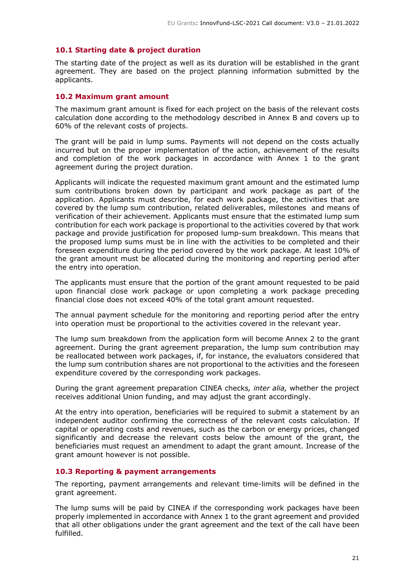#### <span id="page-20-0"></span>**10.1 Starting date & project duration**

The starting date of the project as well as its duration will be established in the grant agreement. They are based on the project planning information submitted by the applicants.

#### <span id="page-20-1"></span>**10.2 Maximum grant amount**

The maximum grant amount is fixed for each project on the basis of the relevant costs calculation done according to the methodology described in Annex B and covers up to 60% of the relevant costs of projects.

The grant will be paid in lump sums. Payments will not depend on the costs actually incurred but on the proper implementation of the action, achievement of the results and completion of the work packages in accordance with Annex 1 to the grant agreement during the project duration.

Applicants will indicate the requested maximum grant amount and the estimated lump sum contributions broken down by participant and work package as part of the application. Applicants must describe, for each work package, the activities that are covered by the lump sum contribution, related deliverables, milestones and means of verification of their achievement. Applicants must ensure that the estimated lump sum contribution for each work package is proportional to the activities covered by that work package and provide justification for proposed lump-sum breakdown. This means that the proposed lump sums must be in line with the activities to be completed and their foreseen expenditure during the period covered by the work package. At least 10% of the grant amount must be allocated during the monitoring and reporting period after the entry into operation.

The applicants must ensure that the portion of the grant amount requested to be paid upon financial close work package or upon completing a work package preceding financial close does not exceed 40% of the total grant amount requested.

The annual payment schedule for the monitoring and reporting period after the entry into operation must be proportional to the activities covered in the relevant year.

The lump sum breakdown from the application form will become Annex 2 to the grant agreement. During the grant agreement preparation, the lump sum contribution may be reallocated between work packages, if, for instance, the evaluators considered that the lump sum contribution shares are not proportional to the activities and the foreseen expenditure covered by the corresponding work packages.

During the grant agreement preparation CINEA checks*, inter alia,* whether the project receives additional Union funding, and may adjust the grant accordingly.

At the entry into operation, beneficiaries will be required to submit a statement by an independent auditor confirming the correctness of the relevant costs calculation. If capital or operating costs and revenues, such as the carbon or energy prices, changed significantly and decrease the relevant costs below the amount of the grant, the beneficiaries must request an amendment to adapt the grant amount. Increase of the grant amount however is not possible.

#### <span id="page-20-2"></span>**10.3 Reporting & payment arrangements**

The reporting, payment arrangements and relevant time-limits will be defined in the grant agreement.

The lump sums will be paid by CINEA if the corresponding work packages have been properly implemented in accordance with Annex 1 to the grant agreement and provided that all other obligations under the grant agreement and the text of the call have been fulfilled.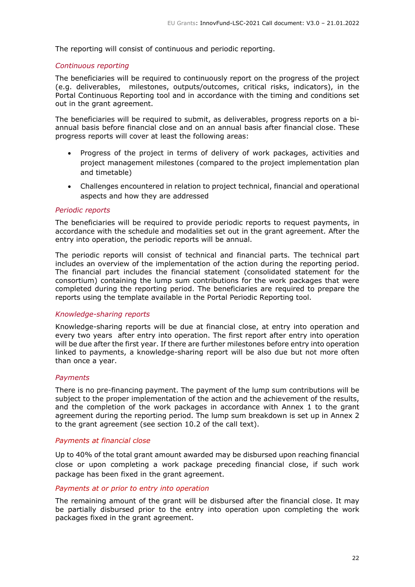The reporting will consist of continuous and periodic reporting.

#### <span id="page-21-0"></span>*Continuous reporting*

The beneficiaries will be required to continuously report on the progress of the project (e.g. deliverables, milestones, outputs/outcomes, critical risks, indicators), in the Portal Continuous Reporting tool and in accordance with the timing and conditions set out in the grant agreement.

The beneficiaries will be required to submit, as deliverables, progress reports on a biannual basis before financial close and on an annual basis after financial close. These progress reports will cover at least the following areas:

- Progress of the project in terms of delivery of work packages, activities and project management milestones (compared to the project implementation plan and timetable)
- Challenges encountered in relation to project technical, financial and operational aspects and how they are addressed

#### <span id="page-21-1"></span>*Periodic reports*

The beneficiaries will be required to provide periodic reports to request payments, in accordance with the schedule and modalities set out in the grant agreement. After the entry into operation, the periodic reports will be annual.

The periodic reports will consist of technical and financial parts. The technical part includes an overview of the implementation of the action during the reporting period. The financial part includes the financial statement (consolidated statement for the consortium) containing the lump sum contributions for the work packages that were completed during the reporting period. The beneficiaries are required to prepare the reports using the template available in the Portal Periodic Reporting tool.

#### <span id="page-21-2"></span>*Knowledge-sharing reports*

Knowledge-sharing reports will be due at financial close, at entry into operation and every two years after entry into operation. The first report after entry into operation will be due after the first year. If there are further milestones before entry into operation linked to payments, a knowledge-sharing report will be also due but not more often than once a year.

#### <span id="page-21-3"></span>*Payments*

There is no pre-financing payment. The payment of the lump sum contributions will be subject to the proper implementation of the action and the achievement of the results, and the completion of the work packages in accordance with Annex 1 to the grant agreement during the reporting period. The lump sum breakdown is set up in Annex 2 to the grant agreement (see section 10.2 of the call text).

#### *Payments at financial close*

Up to 40% of the total grant amount awarded may be disbursed upon reaching financial close or upon completing a work package preceding financial close, if such work package has been fixed in the grant agreement.

#### *Payments at or prior to entry into operation*

The remaining amount of the grant will be disbursed after the financial close. It may be partially disbursed prior to the entry into operation upon completing the work packages fixed in the grant agreement.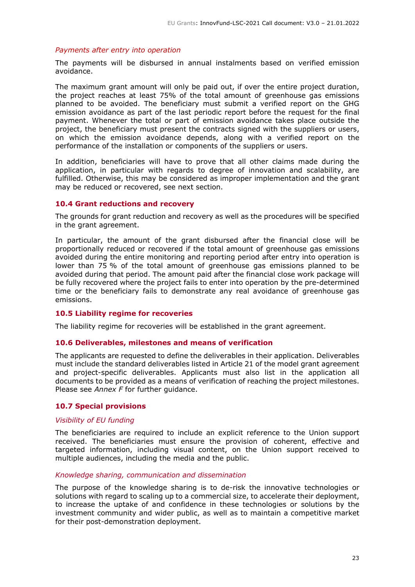#### *Payments after entry into operation*

The payments will be disbursed in annual instalments based on verified emission avoidance.

The maximum grant amount will only be paid out, if over the entire project duration, the project reaches at least 75% of the total amount of greenhouse gas emissions planned to be avoided. The beneficiary must submit a verified report on the GHG emission avoidance as part of the last periodic report before the request for the final payment. Whenever the total or part of emission avoidance takes place outside the project, the beneficiary must present the contracts signed with the suppliers or users, on which the emission avoidance depends, along with a verified report on the performance of the installation or components of the suppliers or users.

In addition, beneficiaries will have to prove that all other claims made during the application, in particular with regards to degree of innovation and scalability, are fulfilled. Otherwise, this may be considered as improper implementation and the grant may be reduced or recovered, see next section.

## <span id="page-22-0"></span>**10.4 Grant reductions and recovery**

The grounds for grant reduction and recovery as well as the procedures will be specified in the grant agreement.

In particular, the amount of the grant disbursed after the financial close will be proportionally reduced or recovered if the total amount of greenhouse gas emissions avoided during the entire monitoring and reporting period after entry into operation is lower than 75 % of the total amount of greenhouse gas emissions planned to be avoided during that period. The amount paid after the financial close work package will be fully recovered where the project fails to enter into operation by the pre-determined time or the beneficiary fails to demonstrate any real avoidance of greenhouse gas emissions.

#### <span id="page-22-1"></span>**10.5 Liability regime for recoveries**

The liability regime for recoveries will be established in the grant agreement.

#### <span id="page-22-2"></span>**10.6 Deliverables, milestones and means of verification**

The applicants are requested to define the deliverables in their application. Deliverables must include the standard deliverables listed in Article 21 of the model grant agreement and project-specific deliverables. Applicants must also list in the application all documents to be provided as a means of verification of reaching the project milestones. Please see *Annex F* for further guidance.

#### <span id="page-22-3"></span>**10.7 Special provisions**

#### <span id="page-22-4"></span>*Visibility of EU funding*

The beneficiaries are required to include an explicit reference to the Union support received. The beneficiaries must ensure the provision of coherent, effective and targeted information, including visual content, on the Union support received to multiple audiences, including the media and the public.

#### <span id="page-22-5"></span>*Knowledge sharing, communication and dissemination*

The purpose of the knowledge sharing is to de-risk the innovative technologies or solutions with regard to scaling up to a commercial size, to accelerate their deployment, to increase the uptake of and confidence in these technologies or solutions by the investment community and wider public, as well as to maintain a competitive market for their post-demonstration deployment.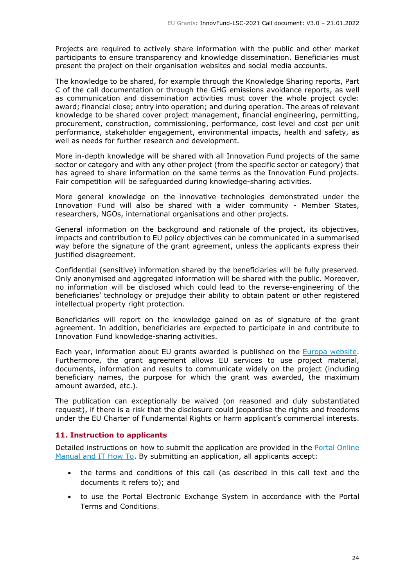Projects are required to actively share information with the public and other market participants to ensure transparency and knowledge dissemination. Beneficiaries must present the project on their organisation websites and social media accounts.

The knowledge to be shared, for example through the Knowledge Sharing reports, Part C of the call documentation or through the GHG emissions avoidance reports, as well as communication and dissemination activities must cover the whole project cycle: award; financial close; entry into operation; and during operation. The areas of relevant knowledge to be shared cover project management, financial engineering, permitting, procurement, construction, commissioning, performance, cost level and cost per unit performance, stakeholder engagement, environmental impacts, health and safety, as well as needs for further research and development.

More in-depth knowledge will be shared with all Innovation Fund projects of the same sector or category and with any other project (from the specific sector or category) that has agreed to share information on the same terms as the Innovation Fund projects. Fair competition will be safeguarded during knowledge-sharing activities.

More general knowledge on the innovative technologies demonstrated under the Innovation Fund will also be shared with a wider community - Member States, researchers, NGOs, international organisations and other projects.

General information on the background and rationale of the project, its objectives, impacts and contribution to EU policy objectives can be communicated in a summarised way before the signature of the grant agreement, unless the applicants express their justified disagreement.

Confidential (sensitive) information shared by the beneficiaries will be fully preserved. Only anonymised and aggregated information will be shared with the public. Moreover, no information will be disclosed which could lead to the reverse-engineering of the beneficiaries' technology or prejudge their ability to obtain patent or other registered intellectual property right protection.

Beneficiaries will report on the knowledge gained on as of signature of the grant agreement. In addition, beneficiaries are expected to participate in and contribute to Innovation Fund knowledge-sharing activities.

Each year, information about EU grants awarded is published on the Europa [website.](https://ec.europa.eu/budget/fts/index_en.htm) Furthermore, the grant agreement allows EU services to use project material, documents, information and results to communicate widely on the project (including beneficiary names, the purpose for which the grant was awarded, the maximum amount awarded, etc.).

The publication can exceptionally be waived (on reasoned and duly substantiated request), if there is a risk that the disclosure could jeopardise the rights and freedoms under the EU Charter of Fundamental Rights or harm applicant's commercial interests.

## <span id="page-23-0"></span>**11. Instruction to applicants**

Detailed instructions on how to submit the application are provided in the Portal [Online](https://ec.europa.eu/info/funding-tenders/opportunities/portal/screen/support/manuals) [Manual](https://ec.europa.eu/info/funding-tenders/opportunities/portal/screen/support/manuals) and IT How To. By submitting an application, all applicants accept:

- the terms and conditions of this call (as described in this call text and the documents it refers to); and
- to use the Portal Electronic Exchange System in accordance with the Portal Terms and Conditions.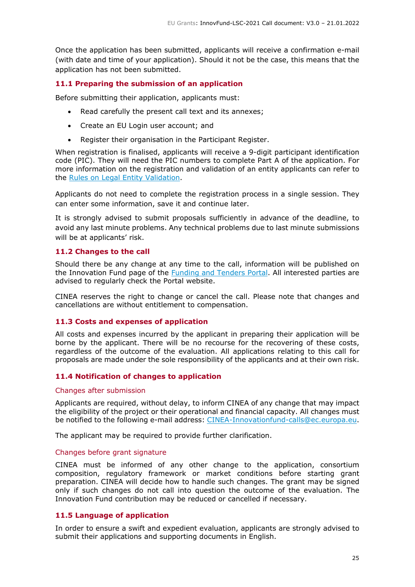Once the application has been submitted, applicants will receive a confirmation e-mail (with date and time of your application). Should it not be the case, this means that the application has not been submitted.

## <span id="page-24-0"></span>**11.1 Preparing the submission of an application**

Before submitting their application, applicants must:

- Read carefully the present call text and its annexes;
- Create an EU Login user account; and
- Register their organisation in the Participant Register.

When registration is finalised, applicants will receive a 9-digit participant identification code (PIC). They will need the PIC numbers to complete Part A of the application. For more information on the registration and validation of an entity applicants can refer to the Rules on Legal Entity [Validation.](https://ec.europa.eu/info/funding-tenders/opportunities/docs/2021-2027/common/guidance/rules-lev-lear-fca_en.pdf)

Applicants do not need to complete the registration process in a single session. They can enter some information, save it and continue later.

It is strongly advised to submit proposals sufficiently in advance of the deadline, to avoid any last minute problems. Any technical problems due to last minute submissions will be at applicants' risk.

#### <span id="page-24-1"></span>**11.2 Changes to the call**

Should there be any change at any time to the call, information will be published on the Innovation Fund page of the Funding and [Tenders](https://ec.europa.eu/info/funding-tenders/opportunities/portal/screen/programmes/innovfund) Portal. All interested parties are advised to regularly check the Portal website.

CINEA reserves the right to change or cancel the call. Please note that changes and cancellations are without entitlement to compensation.

#### <span id="page-24-2"></span>**11.3 Costs and expenses of application**

All costs and expenses incurred by the applicant in preparing their application will be borne by the applicant. There will be no recourse for the recovering of these costs, regardless of the outcome of the evaluation. All applications relating to this call for proposals are made under the sole responsibility of the applicants and at their own risk.

#### <span id="page-24-3"></span>**11.4 Notification of changes to application**

#### <span id="page-24-4"></span>Changes after submission

Applicants are required, without delay, to inform CINEA of any change that may impact the eligibility of the project or their operational and financial capacity. All changes must be notified to the following e-mail address: [CINEA-Innovationfund-calls@ec.europa.eu.](mailto:CINEA-Innovationfund-calls@ec.europa.eu)

The applicant may be required to provide further clarification.

#### <span id="page-24-5"></span>Changes before grant signature

CINEA must be informed of any other change to the application, consortium composition, regulatory framework or market conditions before starting grant preparation. CINEA will decide how to handle such changes. The grant may be signed only if such changes do not call into question the outcome of the evaluation. The Innovation Fund contribution may be reduced or cancelled if necessary.

## <span id="page-24-6"></span>**11.5 Language of application**

In order to ensure a swift and expedient evaluation, applicants are strongly advised to submit their applications and supporting documents in English.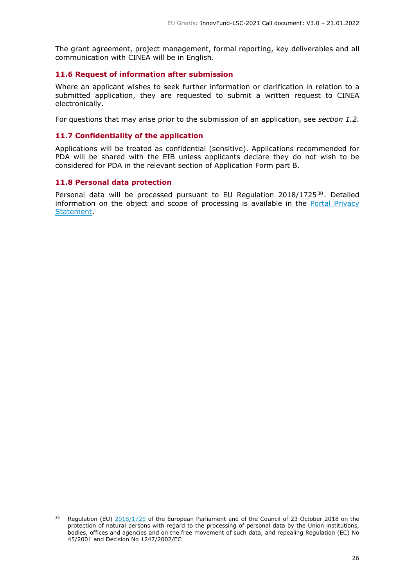The grant agreement, project management, formal reporting, key deliverables and all communication with CINEA will be in English.

#### <span id="page-25-0"></span>**11.6 Request of information after submission**

Where an applicant wishes to seek further information or clarification in relation to a submitted application, they are requested to submit a written request to CINEA electronically.

For questions that may arise prior to the submission of an application, see *section 1.2*.

### <span id="page-25-1"></span>**11.7 Confidentiality of the application**

Applications will be treated as confidential (sensitive). Applications recommended for PDA will be shared with the EIB unless applicants declare they do not wish to be considered for PDA in the relevant section of Application Form part B.

#### <span id="page-25-2"></span>**11.8 Personal data protection**

Personal data will be processed pursuant to EU Regulation 2018/1725<sup>30</sup>. Detailed information on the object and scope of processing is available in the Portal [Privacy](https://ec.europa.eu/info/funding-tenders/opportunities/portal/screen/support/legalnotice) [Statement.](https://ec.europa.eu/info/funding-tenders/opportunities/portal/screen/support/legalnotice)

<sup>&</sup>lt;sup>30</sup> Regulation (EU) [2018/1725](https://eur-lex.europa.eu/eli/reg/2018/1725/oj) of the European Parliament and of the Council of 23 October 2018 on the protection of natural persons with regard to the processing of personal data by the Union institutions, bodies, offices and agencies and on the free movement of such data, and repealing Regulation (EC) No 45/2001 and Decision No 1247/2002/EC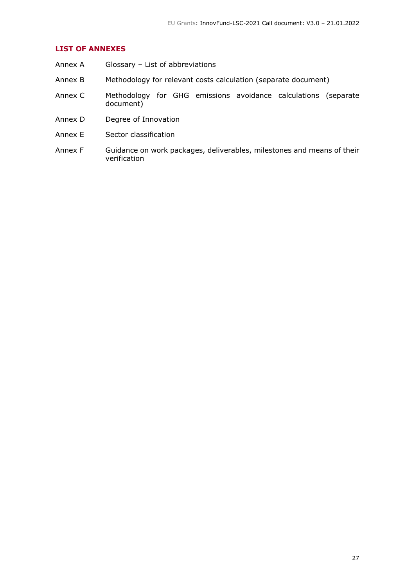## **LIST OF ANNEXES**

- Annex A Glossary List of abbreviations
- Annex B Methodology for relevant costs calculation (separate document)
- Annex C Methodology for GHG emissions avoidance calculations (separate document)
- Annex D Degree of Innovation
- Annex E Sector classification
- Annex F Guidance on work packages, deliverables, milestones and means of their verification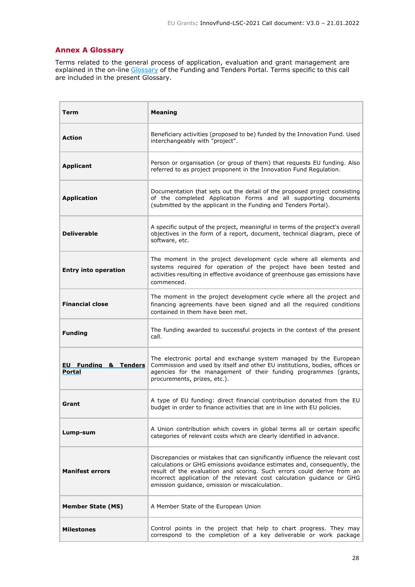## <span id="page-27-0"></span>**Annex A Glossary**

Terms related to the general process of application, evaluation and grant management are explained in the on-line [Glossary](https://ec.europa.eu/info/funding-tenders/opportunities/portal/screen/support/glossary) of the Funding and Tenders Portal. Terms specific to this call are included in the present Glossary.

| <b>Term</b>                               | <b>Meaning</b>                                                                                                                                                                                                                                                                                                                                                 |
|-------------------------------------------|----------------------------------------------------------------------------------------------------------------------------------------------------------------------------------------------------------------------------------------------------------------------------------------------------------------------------------------------------------------|
| <b>Action</b>                             | Beneficiary activities (proposed to be) funded by the Innovation Fund. Used<br>interchangeably with "project".                                                                                                                                                                                                                                                 |
| <b>Applicant</b>                          | Person or organisation (or group of them) that requests EU funding. Also<br>referred to as project proponent in the Innovation Fund Regulation.                                                                                                                                                                                                                |
| <b>Application</b>                        | Documentation that sets out the detail of the proposed project consisting<br>of the completed Application Forms and all supporting documents<br>(submitted by the applicant in the Funding and Tenders Portal).                                                                                                                                                |
| <b>Deliverable</b>                        | A specific output of the project, meaningful in terms of the project's overall<br>objectives in the form of a report, document, technical diagram, piece of<br>software, etc.                                                                                                                                                                                  |
| <b>Entry into operation</b>               | The moment in the project development cycle where all elements and<br>systems required for operation of the project have been tested and<br>activities resulting in effective avoidance of greenhouse gas emissions have<br>commenced.                                                                                                                         |
| <b>Financial close</b>                    | The moment in the project development cycle where all the project and<br>financing agreements have been signed and all the required conditions<br>contained in them have been met.                                                                                                                                                                             |
| <b>Funding</b>                            | The funding awarded to successful projects in the context of the present<br>call.                                                                                                                                                                                                                                                                              |
| <b>EU Funding &amp; Tenders</b><br>Portal | The electronic portal and exchange system managed by the European<br>Commission and used by itself and other EU institutions, bodies, offices or<br>agencies for the management of their funding programmes (grants,<br>procurements, prizes, etc.).                                                                                                           |
| Grant                                     | A type of EU funding: direct financial contribution donated from the EU<br>budget in order to finance activities that are in line with EU policies.                                                                                                                                                                                                            |
| Lump-sum                                  | A Union contribution which covers in global terms all or certain specific<br>categories of relevant costs which are clearly identified in advance.                                                                                                                                                                                                             |
| <b>Manifest errors</b>                    | Discrepancies or mistakes that can significantly influence the relevant cost<br>calculations or GHG emissions avoidance estimates and, consequently, the<br>result of the evaluation and scoring. Such errors could derive from an<br>incorrect application of the relevant cost calculation guidance or GHG<br>emission guidance, omission or miscalculation. |
| <b>Member State (MS)</b>                  | A Member State of the European Union                                                                                                                                                                                                                                                                                                                           |
| <b>Milestones</b>                         | Control points in the project that help to chart progress. They may<br>correspond to the completion of a key deliverable or work package                                                                                                                                                                                                                       |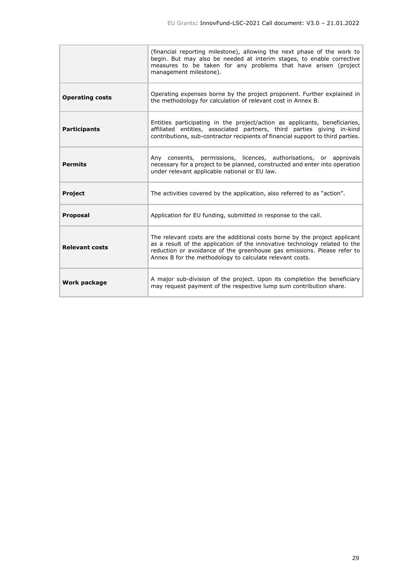|                        | (financial reporting milestone), allowing the next phase of the work to<br>begin. But may also be needed at interim stages, to enable corrective<br>measures to be taken for any problems that have arisen (project<br>management milestone).                                                   |
|------------------------|-------------------------------------------------------------------------------------------------------------------------------------------------------------------------------------------------------------------------------------------------------------------------------------------------|
| <b>Operating costs</b> | Operating expenses borne by the project proponent. Further explained in<br>the methodology for calculation of relevant cost in Annex B.                                                                                                                                                         |
| <b>Participants</b>    | Entities participating in the project/action as applicants, beneficiaries,<br>affiliated entities, associated partners, third parties giving in-kind<br>contributions, sub-contractor recipients of financial support to third parties.                                                         |
| <b>Permits</b>         | Any consents, permissions, licences, authorisations, or approvals<br>necessary for a project to be planned, constructed and enter into operation<br>under relevant applicable national or EU law.                                                                                               |
| <b>Project</b>         | The activities covered by the application, also referred to as "action".                                                                                                                                                                                                                        |
| <b>Proposal</b>        | Application for EU funding, submitted in response to the call.                                                                                                                                                                                                                                  |
| <b>Relevant costs</b>  | The relevant costs are the additional costs borne by the project applicant<br>as a result of the application of the innovative technology related to the<br>reduction or avoidance of the greenhouse gas emissions. Please refer to<br>Annex B for the methodology to calculate relevant costs. |
| Work package           | A major sub-division of the project. Upon its completion the beneficiary<br>may request payment of the respective lump sum contribution share.                                                                                                                                                  |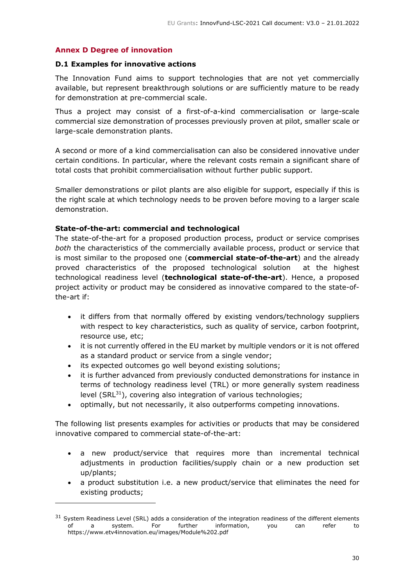## <span id="page-29-0"></span>**Annex D Degree of innovation**

#### **D.1 Examples for innovative actions**

The Innovation Fund aims to support technologies that are not yet commercially available, but represent breakthrough solutions or are sufficiently mature to be ready for demonstration at pre-commercial scale.

Thus a project may consist of a first-of-a-kind commercialisation or large-scale commercial size demonstration of processes previously proven at pilot, smaller scale or large-scale demonstration plants.

A second or more of a kind commercialisation can also be considered innovative under certain conditions. In particular, where the relevant costs remain a significant share of total costs that prohibit commercialisation without further public support.

Smaller demonstrations or pilot plants are also eligible for support, especially if this is the right scale at which technology needs to be proven before moving to a larger scale demonstration.

#### **State-of-the-art: commercial and technological**

The state-of-the-art for a proposed production process, product or service comprises *both* the characteristics of the commercially available process, product or service that is most similar to the proposed one (**commercial state-of-the-art**) and the already proved characteristics of the proposed technological solution at the highest technological readiness level (**technological state-of-the-art**). Hence, a proposed project activity or product may be considered as innovative compared to the state-ofthe-art if:

- it differs from that normally offered by existing vendors/technology suppliers with respect to key characteristics, such as quality of service, carbon footprint, resource use, etc;
- it is not currently offered in the EU market by multiple vendors or it is not offered as a standard product or service from a single vendor;
- its expected outcomes go well beyond existing solutions;
- it is further advanced from previously conducted demonstrations for instance in terms of technology readiness level (TRL) or more generally system readiness level (SRL<sup>31</sup>), covering also integration of various technologies;
- optimally, but not necessarily, it also outperforms competing innovations.

The following list presents examples for activities or products that may be considered innovative compared to commercial state-of-the-art:

- a new product/service that requires more than incremental technical adjustments in production facilities/supply chain or a new production set up/plants;
- a product substitution i.e. a new product/service that eliminates the need for existing products;

 $31$  System Readiness Level (SRL) adds a consideration of the integration readiness of the different elements of a system. For further information, you can refer to https://www.etv4innovation.eu/images/Module%202.pdf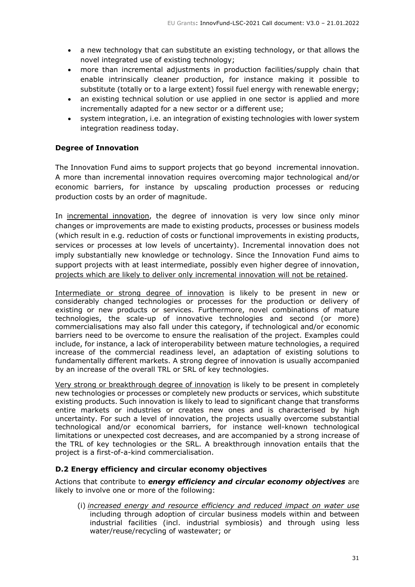- a new technology that can substitute an existing technology, or that allows the novel integrated use of existing technology;
- more than incremental adjustments in production facilities/supply chain that enable intrinsically cleaner production, for instance making it possible to substitute (totally or to a large extent) fossil fuel energy with renewable energy;
- an existing technical solution or use applied in one sector is applied and more incrementally adapted for a new sector or a different use;
- system integration, i.e. an integration of existing technologies with lower system integration readiness today.

## **Degree of Innovation**

The Innovation Fund aims to support projects that go beyond incremental innovation. A more than incremental innovation requires overcoming major technological and/or economic barriers, for instance by upscaling production processes or reducing production costs by an order of magnitude.

In incremental innovation, the degree of innovation is very low since only minor changes or improvements are made to existing products, processes or business models (which result in e.g. reduction of costs or functional improvements in existing products, services or processes at low levels of uncertainty). Incremental innovation does not imply substantially new knowledge or technology. Since the Innovation Fund aims to support projects with at least intermediate, possibly even higher degree of innovation, projects which are likely to deliver only incremental innovation will not be retained.

Intermediate or strong degree of innovation is likely to be present in new or considerably changed technologies or processes for the production or delivery of existing or new products or services. Furthermore, novel combinations of mature technologies, the scale-up of innovative technologies and second (or more) commercialisations may also fall under this category, if technological and/or economic barriers need to be overcome to ensure the realisation of the project. Examples could include, for instance, a lack of interoperability between mature technologies, a required increase of the commercial readiness level, an adaptation of existing solutions to fundamentally different markets. A strong degree of innovation is usually accompanied by an increase of the overall TRL or SRL of key technologies.

Very strong or breakthrough degree of innovation is likely to be present in completely new technologies or processes or completely new products or services, which substitute existing products. Such innovation is likely to lead to significant change that transforms entire markets or industries or creates new ones and is characterised by high uncertainty. For such a level of innovation, the projects usually overcome substantial technological and/or economical barriers, for instance well-known technological limitations or unexpected cost decreases, and are accompanied by a strong increase of the TRL of key technologies or the SRL. A breakthrough innovation entails that the project is a first-of-a-kind commercialisation.

#### **D.2 Energy efficiency and circular economy objectives**

Actions that contribute to *energy efficiency and circular economy objectives* are likely to involve one or more of the following:

(i) *increased energy and resource efficiency and reduced impact on water use* including through adoption of circular business models within and between industrial facilities (incl. industrial symbiosis) and through using less water/reuse/recycling of wastewater; or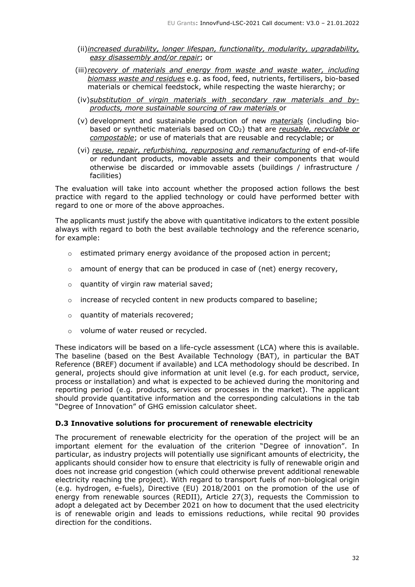- (ii)*increased durability, longer lifespan, functionality, modularity, upgradability, easy disassembly and/or repair*; or
- (iii)*recovery of materials and energy from waste and waste water, including biomass waste and residues* e.g. as food, feed, nutrients, fertilisers, bio-based materials or chemical feedstock, while respecting the waste hierarchy; or
- (iv)*substitution of virgin materials with secondary raw materials and byproducts, more sustainable sourcing of raw materials* or
- (v) development and sustainable production of new *materials* (including biobased or synthetic materials based on CO2) that are *reusable, recyclable or compostable*; or use of materials that are reusable and recyclable; or
- (vi) *reuse, repair, refurbishing, repurposing and remanufacturing* of end-of-life or redundant products, movable assets and their components that would otherwise be discarded or immovable assets (buildings / infrastructure / facilities)

The evaluation will take into account whether the proposed action follows the best practice with regard to the applied technology or could have performed better with regard to one or more of the above approaches.

The applicants must justify the above with quantitative indicators to the extent possible always with regard to both the best available technology and the reference scenario, for example:

- $\circ$  estimated primary energy avoidance of the proposed action in percent;
- $\circ$  amount of energy that can be produced in case of (net) energy recovery,
- o quantity of virgin raw material saved;
- o increase of recycled content in new products compared to baseline;
- o quantity of materials recovered;
- o volume of water reused or recycled.

These indicators will be based on a life-cycle assessment (LCA) where this is available. The baseline (based on the Best Available Technology (BAT), in particular the BAT Reference (BREF) document if available) and LCA methodology should be described. In general, projects should give information at unit level (e.g. for each product, service, process or installation) and what is expected to be achieved during the monitoring and reporting period (e.g. products, services or processes in the market). The applicant should provide quantitative information and the corresponding calculations in the tab "Degree of Innovation" of GHG emission calculator sheet.

#### **D.3 Innovative solutions for procurement of renewable electricity**

The procurement of renewable electricity for the operation of the project will be an important element for the evaluation of the criterion "Degree of innovation". In particular, as industry projects will potentially use significant amounts of electricity, the applicants should consider how to ensure that electricity is fully of renewable origin and does not increase grid congestion (which could otherwise prevent additional renewable electricity reaching the project). With regard to transport fuels of non-biological origin (e.g. hydrogen, e-fuels), Directive (EU) 2018/2001 on the promotion of the use of energy from renewable sources (REDII), Article 27(3), requests the Commission to adopt a delegated act by December 2021 on how to document that the used electricity is of renewable origin and leads to emissions reductions, while recital 90 provides direction for the conditions.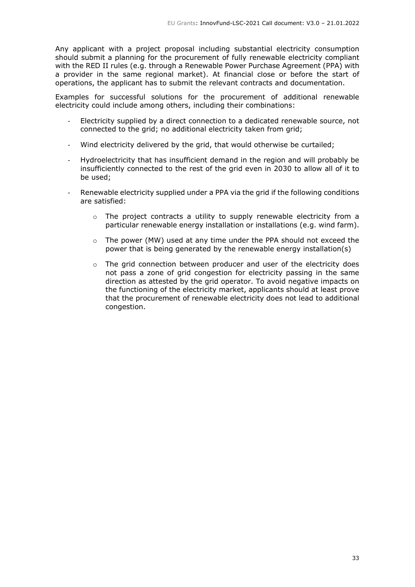Any applicant with a project proposal including substantial electricity consumption should submit a planning for the procurement of fully renewable electricity compliant with the RED II rules (e.g. through a Renewable Power Purchase Agreement (PPA) with a provider in the same regional market). At financial close or before the start of operations, the applicant has to submit the relevant contracts and documentation.

Examples for successful solutions for the procurement of additional renewable electricity could include among others, including their combinations:

- Electricity supplied by a direct connection to a dedicated renewable source, not connected to the grid; no additional electricity taken from grid;
- Wind electricity delivered by the grid, that would otherwise be curtailed;
- Hydroelectricity that has insufficient demand in the region and will probably be insufficiently connected to the rest of the grid even in 2030 to allow all of it to be used;
- Renewable electricity supplied under a PPA via the grid if the following conditions are satisfied:
	- $\circ$  The project contracts a utility to supply renewable electricity from a particular renewable energy installation or installations (e.g. wind farm).
	- $\circ$  The power (MW) used at any time under the PPA should not exceed the power that is being generated by the renewable energy installation(s)
	- $\circ$  The grid connection between producer and user of the electricity does not pass a zone of grid congestion for electricity passing in the same direction as attested by the grid operator. To avoid negative impacts on the functioning of the electricity market, applicants should at least prove that the procurement of renewable electricity does not lead to additional congestion.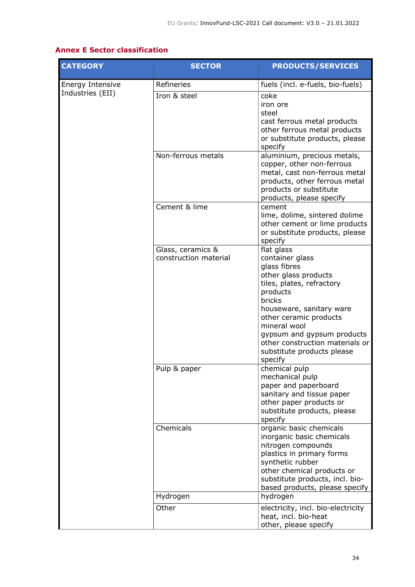## <span id="page-33-0"></span>**Annex E Sector classification**

| <b>CATEGORY</b>  | <b>SECTOR</b>                              | <b>PRODUCTS/SERVICES</b>                                                                                                                                                                                                                                                                                 |
|------------------|--------------------------------------------|----------------------------------------------------------------------------------------------------------------------------------------------------------------------------------------------------------------------------------------------------------------------------------------------------------|
| Energy Intensive | Refineries                                 | fuels (incl. e-fuels, bio-fuels)                                                                                                                                                                                                                                                                         |
| Industries (EII) | Iron & steel                               | coke<br>iron ore<br>steel<br>cast ferrous metal products<br>other ferrous metal products<br>or substitute products, please<br>specify                                                                                                                                                                    |
|                  | Non-ferrous metals                         | aluminium, precious metals,<br>copper, other non-ferrous<br>metal, cast non-ferrous metal<br>products, other ferrous metal<br>products or substitute<br>products, please specify                                                                                                                         |
|                  | Cement & lime                              | cement<br>lime, dolime, sintered dolime<br>other cement or lime products<br>or substitute products, please<br>specify                                                                                                                                                                                    |
|                  | Glass, ceramics &<br>construction material | flat glass<br>container glass<br>glass fibres<br>other glass products<br>tiles, plates, refractory<br>products<br>bricks<br>houseware, sanitary ware<br>other ceramic products<br>mineral wool<br>gypsum and gypsum products<br>other construction materials or<br>substitute products please<br>specify |
|                  | Pulp & paper                               | chemical pulp<br>mechanical pulp<br>paper and paperboard<br>sanitary and tissue paper<br>other paper products or<br>substitute products, please<br>specify                                                                                                                                               |
|                  | Chemicals                                  | organic basic chemicals<br>inorganic basic chemicals<br>nitrogen compounds<br>plastics in primary forms<br>synthetic rubber<br>other chemical products or<br>substitute products, incl. bio-<br>based products, please specify                                                                           |
|                  | Hydrogen                                   | hydrogen                                                                                                                                                                                                                                                                                                 |
|                  | Other                                      | electricity, incl. bio-electricity<br>heat, incl. bio-heat<br>other, please specify                                                                                                                                                                                                                      |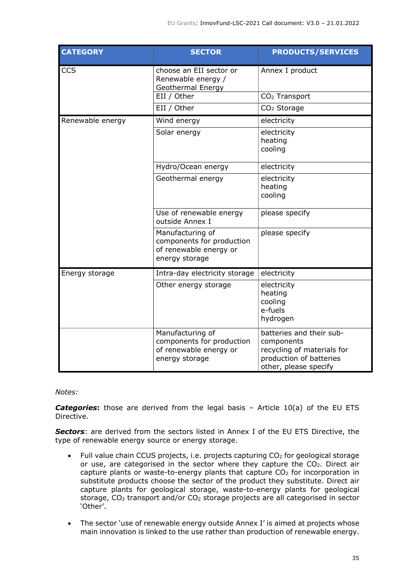| <b>CATEGORY</b>  | <b>SECTOR</b>                                                                             | <b>PRODUCTS/SERVICES</b>                                                                                                 |
|------------------|-------------------------------------------------------------------------------------------|--------------------------------------------------------------------------------------------------------------------------|
| CCS              | choose an EII sector or<br>Renewable energy /<br>Geothermal Energy                        | Annex I product                                                                                                          |
|                  | EII / Other                                                                               | CO <sub>2</sub> Transport                                                                                                |
|                  | EII / Other                                                                               | CO <sub>2</sub> Storage                                                                                                  |
| Renewable energy | Wind energy                                                                               | electricity                                                                                                              |
|                  | Solar energy                                                                              | electricity<br>heating<br>cooling                                                                                        |
|                  | Hydro/Ocean energy                                                                        | electricity                                                                                                              |
|                  | Geothermal energy                                                                         | electricity<br>heating<br>cooling                                                                                        |
|                  | Use of renewable energy<br>outside Annex I                                                | please specify                                                                                                           |
|                  | Manufacturing of<br>components for production<br>of renewable energy or<br>energy storage | please specify                                                                                                           |
| Energy storage   | Intra-day electricity storage                                                             | electricity                                                                                                              |
|                  | Other energy storage                                                                      | electricity<br>heating<br>cooling<br>e-fuels<br>hydrogen                                                                 |
|                  | Manufacturing of<br>components for production<br>of renewable energy or<br>energy storage | batteries and their sub-<br>components<br>recycling of materials for<br>production of batteries<br>other, please specify |

## *Notes:*

*Categories***:** those are derived from the legal basis – Article 10(a) of the EU ETS Directive.

*Sectors*: are derived from the sectors listed in Annex I of the EU ETS Directive, the type of renewable energy source or energy storage.

- Full value chain CCUS projects, i.e. projects capturing CO<sub>2</sub> for geological storage or use, are categorised in the sector where they capture the CO2. Direct air capture plants or waste-to-energy plants that capture CO<sup>2</sup> for incorporation in substitute products choose the sector of the product they substitute. Direct air capture plants for geological storage, waste-to-energy plants for geological storage, CO<sup>2</sup> transport and/or CO<sup>2</sup> storage projects are all categorised in sector 'Other'.
- The sector 'use of renewable energy outside Annex I' is aimed at projects whose main innovation is linked to the use rather than production of renewable energy.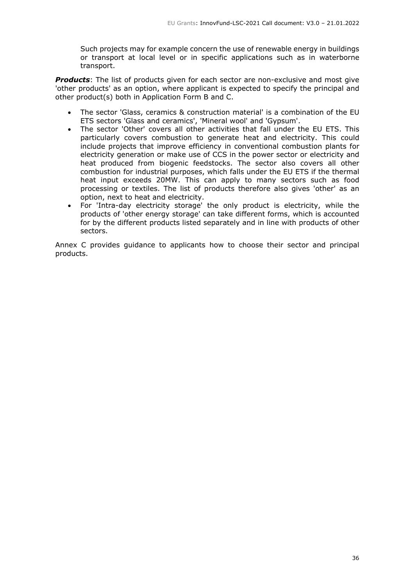Such projects may for example concern the use of renewable energy in buildings or transport at local level or in specific applications such as in waterborne transport.

*Products*: The list of products given for each sector are non-exclusive and most give 'other products' as an option, where applicant is expected to specify the principal and other product(s) both in Application Form B and C.

- The sector 'Glass, ceramics & construction material' is a combination of the EU ETS sectors 'Glass and ceramics', 'Mineral wool' and 'Gypsum'.
- The sector 'Other' covers all other activities that fall under the EU ETS. This particularly covers combustion to generate heat and electricity. This could include projects that improve efficiency in conventional combustion plants for electricity generation or make use of CCS in the power sector or electricity and heat produced from biogenic feedstocks. The sector also covers all other combustion for industrial purposes, which falls under the EU ETS if the thermal heat input exceeds 20MW. This can apply to many sectors such as food processing or textiles. The list of products therefore also gives 'other' as an option, next to heat and electricity.
- For 'Intra-day electricity storage' the only product is electricity, while the products of 'other energy storage' can take different forms, which is accounted for by the different products listed separately and in line with products of other sectors.

Annex C provides guidance to applicants how to choose their sector and principal products.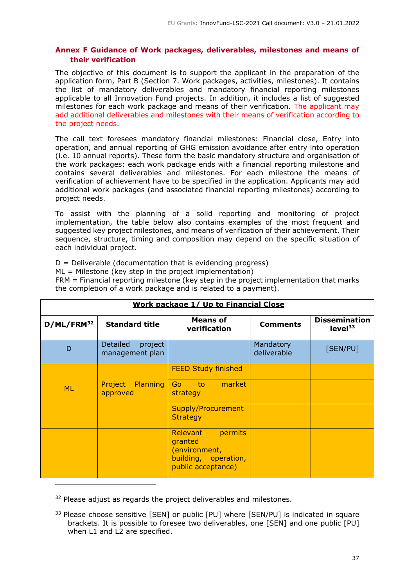## <span id="page-36-0"></span>**Annex F Guidance of Work packages, deliverables, milestones and means of their verification**

The objective of this document is to support the applicant in the preparation of the application form, Part B (Section 7. Work packages, activities, milestones). It contains the list of mandatory deliverables and mandatory financial reporting milestones applicable to all Innovation Fund projects. In addition, it includes a list of suggested milestones for each work package and means of their verification. The applicant may add additional deliverables and milestones with their means of verification according to the project needs.

The call text foresees mandatory financial milestones: Financial close, Entry into operation, and annual reporting of GHG emission avoidance after entry into operation (i.e. 10 annual reports). These form the basic mandatory structure and organisation of the work packages: each work package ends with a financial reporting milestone and contains several deliverables and milestones. For each milestone the means of verification of achievement have to be specified in the application. Applicants may add additional work packages (and associated financial reporting milestones) according to project needs.

To assist with the planning of a solid reporting and monitoring of project implementation, the table below also contains examples of the most frequent and suggested key project milestones, and means of verification of their achievement. Their sequence, structure, timing and composition may depend on the specific situation of each individual project.

 $D =$  Deliverable (documentation that is evidencing progress)

ML = Milestone (key step in the project implementation)

FRM = Financial reporting milestone (key step in the project implementation that marks the completion of a work package and is related to a payment).

| <b>Work package 1/ Up to Financial Close</b> |                                               |                                                                                               |                          |                                             |
|----------------------------------------------|-----------------------------------------------|-----------------------------------------------------------------------------------------------|--------------------------|---------------------------------------------|
| D/ML/FRM <sup>32</sup>                       | <b>Standard title</b>                         | <b>Means of</b><br>verification                                                               | <b>Comments</b>          | <b>Dissemination</b><br>level <sup>33</sup> |
| D                                            | <b>Detailed</b><br>project<br>management plan |                                                                                               | Mandatory<br>deliverable | [SEN/PU]                                    |
|                                              |                                               | <b>FEED Study finished</b>                                                                    |                          |                                             |
| <b>ML</b>                                    | Project Planning<br>approved                  | Go to market<br>strategy                                                                      |                          |                                             |
|                                              |                                               | Supply/Procurement<br><b>Strategy</b>                                                         |                          |                                             |
|                                              |                                               | Relevant<br>permits<br>granted<br>(environment,<br>building, operation,<br>public acceptance) |                          |                                             |

<sup>32</sup> Please adjust as regards the project deliverables and milestones.

<sup>33</sup> Please choose sensitive [SEN] or public [PU] where [SEN/PU] is indicated in square brackets. It is possible to foresee two deliverables, one [SEN] and one public [PU] when L1 and L2 are specified.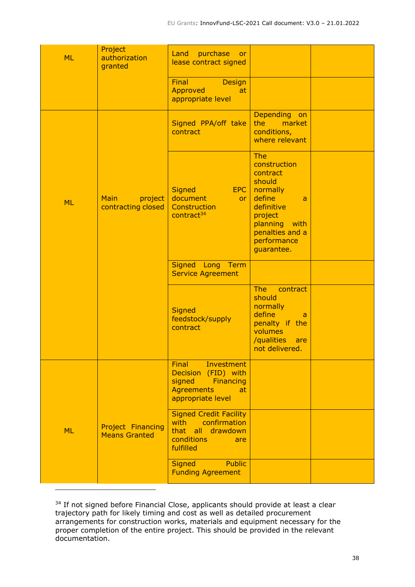| <b>ML</b> | Project<br>authorization<br>granted              | purchase<br>Land<br><b>or</b><br>lease contract signed                                                                          |                                                                                                                                                                   |  |
|-----------|--------------------------------------------------|---------------------------------------------------------------------------------------------------------------------------------|-------------------------------------------------------------------------------------------------------------------------------------------------------------------|--|
|           |                                                  | Final<br><b>Design</b><br><b>Approved</b><br>at<br>appropriate level                                                            |                                                                                                                                                                   |  |
|           |                                                  | Signed PPA/off take<br>contract                                                                                                 | Depending on<br>market<br>the<br>conditions,<br>where relevant                                                                                                    |  |
| <b>ML</b> | <b>Main</b><br>project<br>contracting closed     | <b>Signed</b><br>EPC  <br>document<br>or <sub>1</sub><br>Construction<br>contract <sup>34</sup>                                 | The<br>construction<br>contract<br>should<br>normally<br>define<br>a<br>definitive<br>project<br>planning<br>with<br>penalties and a<br>performance<br>guarantee. |  |
|           |                                                  | Signed Long Term<br><b>Service Agreement</b>                                                                                    |                                                                                                                                                                   |  |
|           |                                                  | <b>Signed</b><br>feedstock/supply<br>contract                                                                                   | <b>The</b><br>contract<br>should<br>normally<br>define<br>a<br>penalty if the<br>volumes<br>/qualities<br>are<br>not delivered.                                   |  |
|           |                                                  | <b>Final</b><br>Investment<br>Decision (FID) with<br>signed<br><b>Financing</b><br><b>Agreements</b><br>at<br>appropriate level |                                                                                                                                                                   |  |
| <b>ML</b> | <b>Project Financing</b><br><b>Means Granted</b> | <b>Signed Credit Facility</b><br>confirmation<br>with<br>all drawdown<br>that<br>conditions<br>are<br>fulfilled                 |                                                                                                                                                                   |  |
|           |                                                  | <b>Public</b><br><b>Signed</b><br><b>Funding Agreement</b>                                                                      |                                                                                                                                                                   |  |

<sup>&</sup>lt;sup>34</sup> If not signed before Financial Close, applicants should provide at least a clear trajectory path for likely timing and cost as well as detailed procurement arrangements for construction works, materials and equipment necessary for the proper completion of the entire project. This should be provided in the relevant documentation.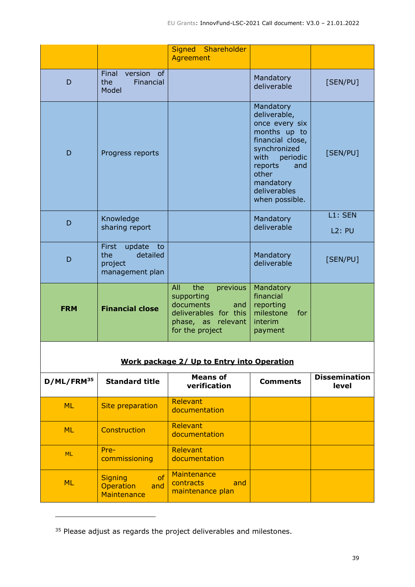|                                            |                                                                               | Shareholder<br><b>Signed</b><br>Agreement                                                                                  |                                                                                                                                                                                               |                               |
|--------------------------------------------|-------------------------------------------------------------------------------|----------------------------------------------------------------------------------------------------------------------------|-----------------------------------------------------------------------------------------------------------------------------------------------------------------------------------------------|-------------------------------|
|                                            |                                                                               |                                                                                                                            |                                                                                                                                                                                               |                               |
| D                                          | Final<br>version<br>of<br>the<br>Financial<br>Model                           |                                                                                                                            | Mandatory<br>deliverable                                                                                                                                                                      | [SEN/PU]                      |
| D                                          | Progress reports                                                              |                                                                                                                            | Mandatory<br>deliverable,<br>once every six<br>months up to<br>financial close,<br>synchronized<br>with<br>periodic<br>reports<br>and<br>other<br>mandatory<br>deliverables<br>when possible. | [SEN/PU]                      |
| D                                          | Knowledge<br>sharing report                                                   |                                                                                                                            | Mandatory<br>deliverable                                                                                                                                                                      | L1: SEN<br><b>L2: PU</b>      |
| D                                          | <b>First</b><br>update<br>to<br>detailed<br>the<br>project<br>management plan |                                                                                                                            | Mandatory<br>deliverable                                                                                                                                                                      | [SEN/PU]                      |
| <b>FRM</b>                                 | <b>Financial close</b>                                                        | the<br>All<br>previous<br>supporting<br>documents<br>and<br>deliverables for this<br>phase, as relevant<br>for the project | Mandatory<br>financial<br>reporting<br>milestone<br>for<br>interim<br>payment                                                                                                                 |                               |
|                                            |                                                                               |                                                                                                                            |                                                                                                                                                                                               |                               |
| Work package 2/ Up to Entry into Operation |                                                                               |                                                                                                                            |                                                                                                                                                                                               |                               |
| D/ML/FRM <sup>35</sup>                     | <b>Standard title</b>                                                         | <b>Means of</b><br>verification                                                                                            | <b>Comments</b>                                                                                                                                                                               | <b>Dissemination</b><br>level |
| <b>ML</b>                                  | <b>Site preparation</b>                                                       | Relevant<br>documentation                                                                                                  |                                                                                                                                                                                               |                               |
| <b>ML</b>                                  | Construction                                                                  | Relevant<br>documentation                                                                                                  |                                                                                                                                                                                               |                               |
| <b>ML</b>                                  | Pre-                                                                          | Relevant                                                                                                                   |                                                                                                                                                                                               |                               |

| <sup>35</sup> Please adjust as regards the project deliverables and milestones. |  |  |
|---------------------------------------------------------------------------------|--|--|
|---------------------------------------------------------------------------------|--|--|

documentation

contracts and maintenance plan

**Maintenance** 

commissioning

**Maintenance** 

ML Signing of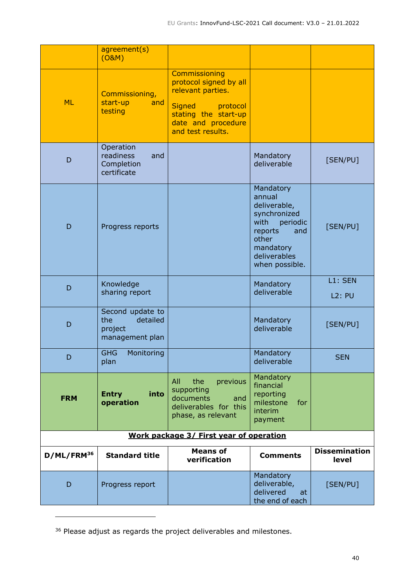|                        | agreement(s)<br>(O&M)                                             |                                                                                                                                                              |                                                                                                                                                   |                               |  |
|------------------------|-------------------------------------------------------------------|--------------------------------------------------------------------------------------------------------------------------------------------------------------|---------------------------------------------------------------------------------------------------------------------------------------------------|-------------------------------|--|
| <b>ML</b>              | Commissioning,<br>start-up<br>and<br>testing                      | Commissioning<br>protocol signed by all<br>relevant parties.<br><b>Signed</b><br>protocol<br>stating the start-up<br>date and procedure<br>and test results. |                                                                                                                                                   |                               |  |
| D                      | Operation<br>readiness<br>and<br>Completion<br>certificate        |                                                                                                                                                              | Mandatory<br>deliverable                                                                                                                          | [SEN/PU]                      |  |
| D                      | Progress reports                                                  |                                                                                                                                                              | Mandatory<br>annual<br>deliverable,<br>synchronized<br>with<br>periodic<br>reports<br>and<br>other<br>mandatory<br>deliverables<br>when possible. | [SEN/PU]                      |  |
| D                      | Knowledge<br>sharing report                                       |                                                                                                                                                              | Mandatory<br>deliverable                                                                                                                          | L1: SEN<br><b>L2: PU</b>      |  |
| D                      | Second update to<br>the<br>detailed<br>project<br>management plan |                                                                                                                                                              | Mandatory<br>deliverable                                                                                                                          | [SEN/PU]                      |  |
| D                      | <b>GHG</b><br>Monitoring<br>plan                                  |                                                                                                                                                              | Mandatory<br>deliverable                                                                                                                          | <b>SEN</b>                    |  |
| <b>FRM</b>             | into<br><b>Entry</b><br>operation                                 | All<br>the<br>previous<br>supporting<br>documents<br>and<br>deliverables for this<br>phase, as relevant                                                      | Mandatory<br>financial<br>reporting<br>milestone<br>for<br>interim<br>payment                                                                     |                               |  |
|                        | Work package 3/ First year of operation                           |                                                                                                                                                              |                                                                                                                                                   |                               |  |
| D/ML/FRM <sup>36</sup> | <b>Standard title</b>                                             | <b>Means of</b><br>verification                                                                                                                              | <b>Comments</b>                                                                                                                                   | <b>Dissemination</b><br>level |  |
| D                      | Progress report                                                   |                                                                                                                                                              | Mandatory<br>deliverable,<br>delivered<br>at<br>the end of each                                                                                   | [SEN/PU]                      |  |

 $^{36}$  Please adjust as regards the project deliverables and milestones.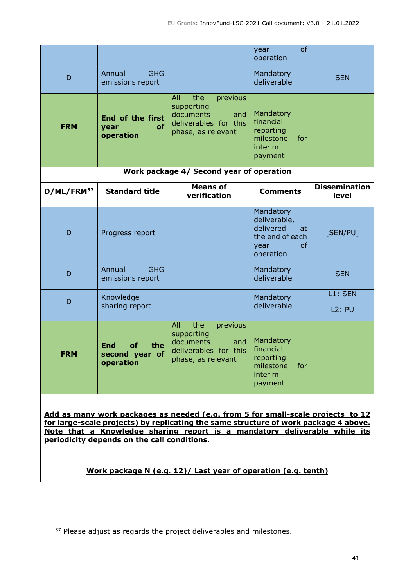|            |                                                 |                                                                                                         | of<br>year<br>operation                                                                    |                               |
|------------|-------------------------------------------------|---------------------------------------------------------------------------------------------------------|--------------------------------------------------------------------------------------------|-------------------------------|
| D          | Annual<br><b>GHG</b><br>emissions report        |                                                                                                         | Mandatory<br>deliverable                                                                   | <b>SEN</b>                    |
| <b>FRM</b> | End of the first<br>year<br>оf<br>operation     | All<br>the<br>previous<br>supporting<br>documents<br>and<br>deliverables for this<br>phase, as relevant | Mandatory<br>financial<br>reporting<br>milestone<br>for<br>interim<br>payment              |                               |
|            |                                                 | Work package 4/ Second year of operation                                                                |                                                                                            |                               |
| D/ML/FRM37 | <b>Standard title</b>                           | <b>Means of</b><br>verification                                                                         | <b>Comments</b>                                                                            | <b>Dissemination</b><br>level |
| D          | Progress report                                 |                                                                                                         | Mandatory<br>deliverable,<br>delivered<br>at<br>the end of each<br>of<br>year<br>operation | [SEN/PU]                      |
| D          | <b>GHG</b><br>Annual<br>emissions report        |                                                                                                         | Mandatory<br>deliverable                                                                   | <b>SEN</b>                    |
| D          | Knowledge<br>sharing report                     |                                                                                                         | Mandatory<br>deliverable                                                                   | L1: SEN<br>L2: PU             |
| <b>FRM</b> | End<br>οf<br>the<br>second year of<br>operation | All<br>the<br>previous<br>supporting<br>documents<br>and<br>deliverables for this<br>phase, as relevant | Mandatory<br>financial<br>reporting<br>milestone<br>for<br>interim<br>payment              |                               |

**Add as many work packages as needed (e.g. from 5 for small-scale projects to 12 for large-scale projects) by replicating the same structure of work package 4 above. Note that a Knowledge sharing report is a mandatory deliverable while its periodicity depends on the call conditions.**

**Work package N (e.g. 12)/ Last year of operation (e.g. tenth)**

<sup>&</sup>lt;sup>37</sup> Please adjust as regards the project deliverables and milestones.